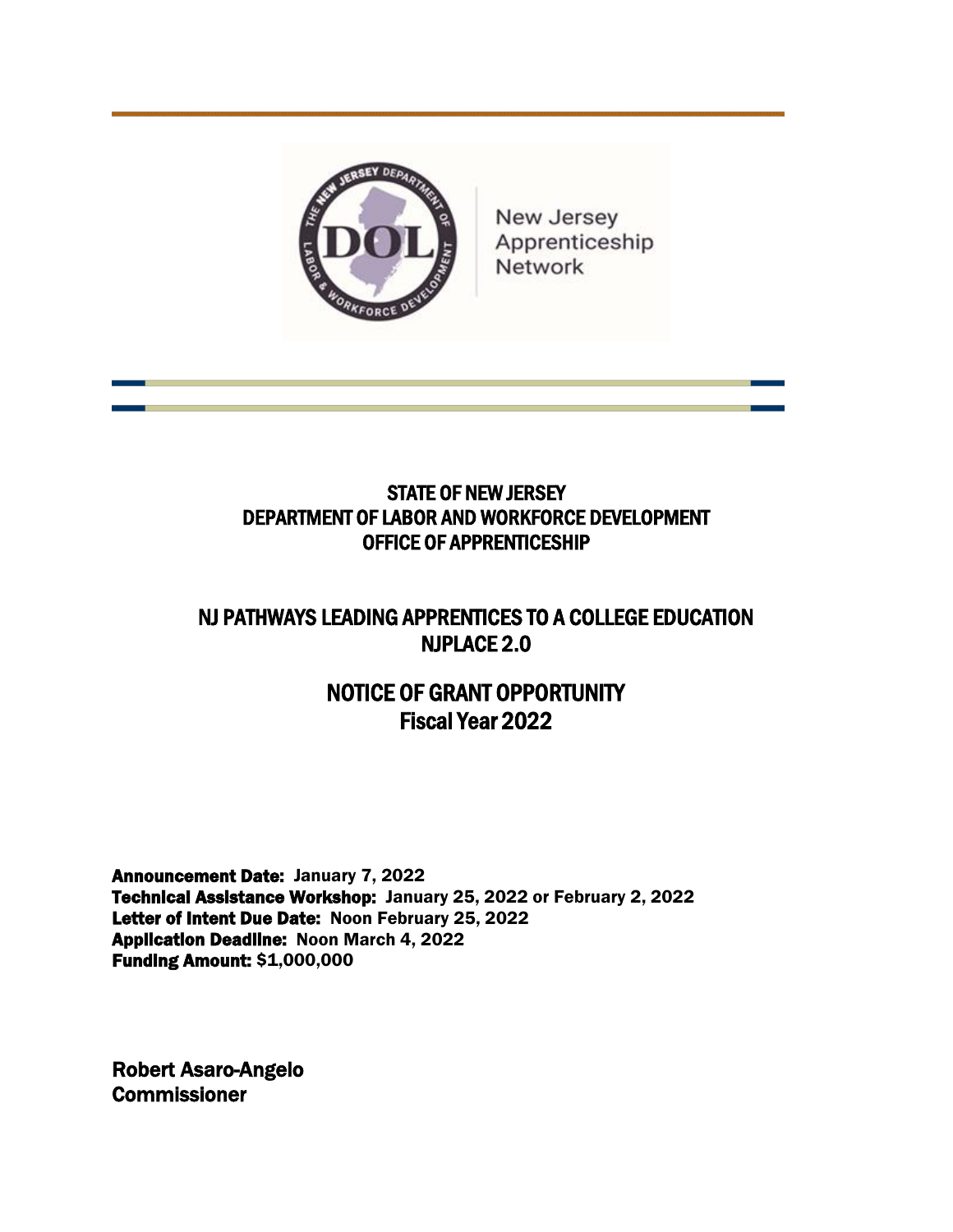

New Jersey Apprenticeship Network

# STATE OF NEW JERSEY DEPARTMENT OF LABOR AND WORKFORCE DEVELOPMENT OFFICE OF APPRENTICESHIP

# NJ PATHWAYS LEADING APPRENTICES TO A COLLEGE EDUCATION NJPLACE 2.0

# NOTICE OF GRANT OPPORTUNITY Fiscal Year 2022

Announcement Date: January 7, 2022 Technical Assistance Workshop: January 25, 2022 or February 2, 2022 Letter of Intent Due Date: Noon February 25, 2022 Application Deadline: Noon March 4, 2022 Funding Amount: \$1,000,000

Robert Asaro-Angelo **Commissioner**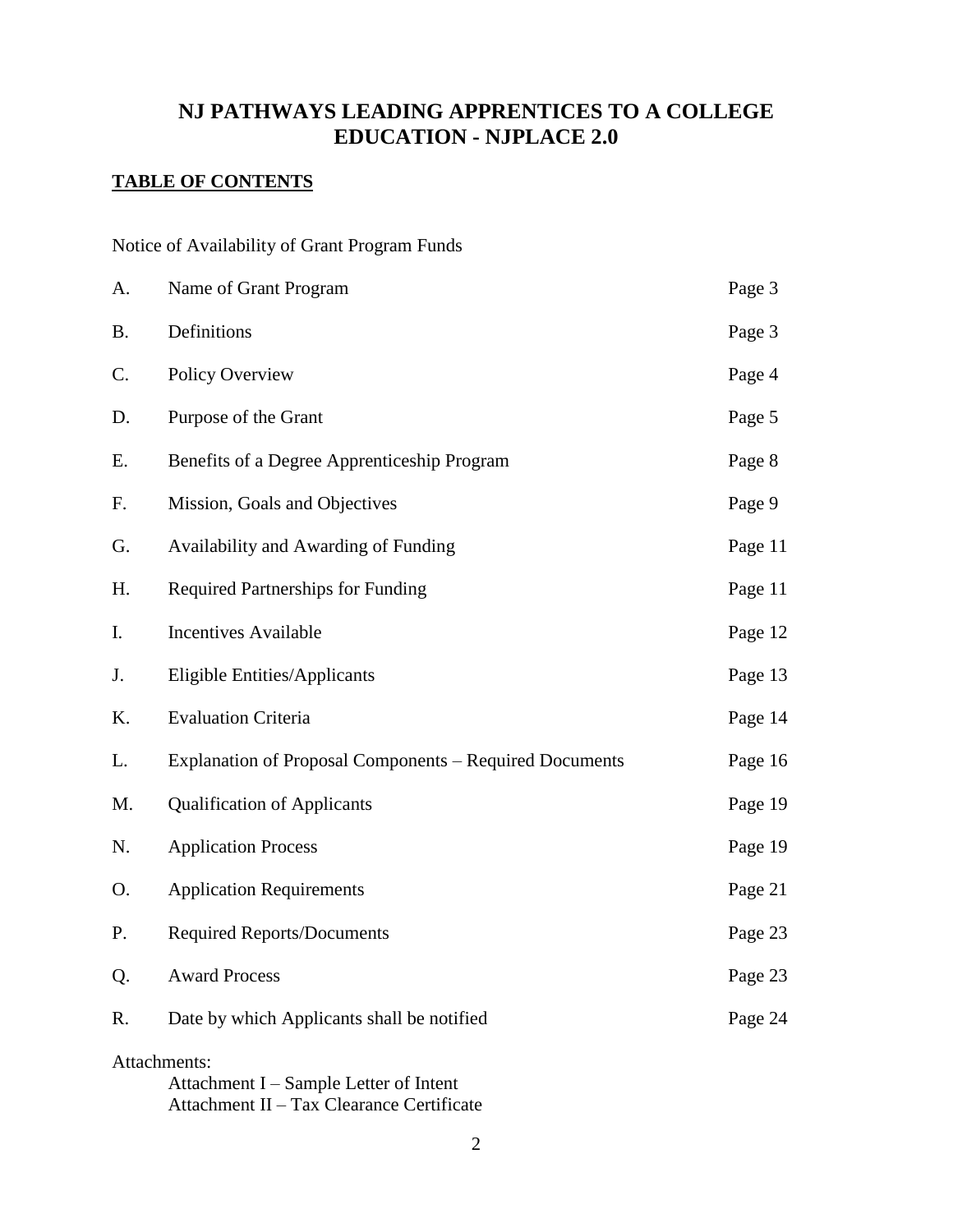## **NJ PATHWAYS LEADING APPRENTICES TO A COLLEGE EDUCATION - NJPLACE 2.0**

## **TABLE OF CONTENTS**

Notice of Availability of Grant Program Funds

| A.                                                                                                  | Name of Grant Program                                   | Page 3  |  |
|-----------------------------------------------------------------------------------------------------|---------------------------------------------------------|---------|--|
| <b>B.</b>                                                                                           | Definitions                                             | Page 3  |  |
| C.                                                                                                  | Policy Overview                                         | Page 4  |  |
| D.                                                                                                  | Purpose of the Grant                                    | Page 5  |  |
| Ε.                                                                                                  | Benefits of a Degree Apprenticeship Program             | Page 8  |  |
| F.                                                                                                  | Mission, Goals and Objectives                           | Page 9  |  |
| G.                                                                                                  | Availability and Awarding of Funding                    | Page 11 |  |
| H.                                                                                                  | <b>Required Partnerships for Funding</b>                | Page 11 |  |
| I.                                                                                                  | <b>Incentives Available</b>                             | Page 12 |  |
| J.                                                                                                  | <b>Eligible Entities/Applicants</b>                     | Page 13 |  |
| Κ.                                                                                                  | <b>Evaluation Criteria</b>                              | Page 14 |  |
| L.                                                                                                  | Explanation of Proposal Components – Required Documents | Page 16 |  |
| M.                                                                                                  | <b>Qualification of Applicants</b>                      | Page 19 |  |
| N.                                                                                                  | <b>Application Process</b>                              | Page 19 |  |
| O.                                                                                                  | <b>Application Requirements</b>                         | Page 21 |  |
| P.                                                                                                  | <b>Required Reports/Documents</b>                       | Page 23 |  |
| Q.                                                                                                  | <b>Award Process</b>                                    | Page 23 |  |
| R.                                                                                                  | Date by which Applicants shall be notified              | Page 24 |  |
| Attachments:<br>Attachment I – Sample Letter of Intent<br>Attachment II – Tax Clearance Certificate |                                                         |         |  |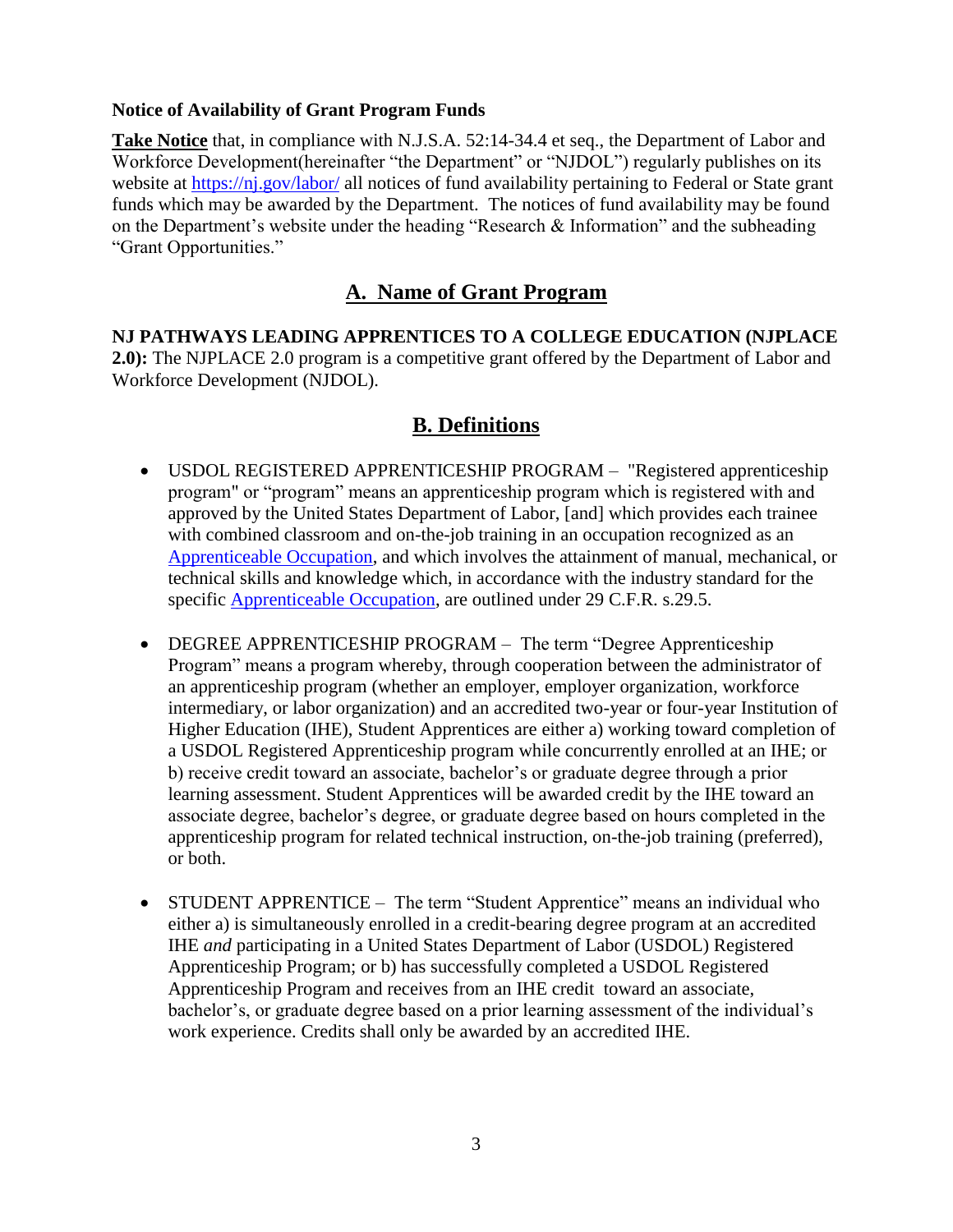#### **Notice of Availability of Grant Program Funds**

**Take Notice** that, in compliance with N.J.S.A. 52:14-34.4 et seq., the Department of Labor and Workforce Development(hereinafter "the Department" or "NJDOL") regularly publishes on its website at<https://nj.gov/labor/> all notices of fund availability pertaining to Federal or State grant funds which may be awarded by the Department. The notices of fund availability may be found on the Department's website under the heading "Research & Information" and the subheading "Grant Opportunities."

# **A. Name of Grant Program**

**NJ PATHWAYS LEADING APPRENTICES TO A COLLEGE EDUCATION (NJPLACE 2.0):** The NJPLACE 2.0 program is a competitive grant offered by the Department of Labor and Workforce Development (NJDOL).

## **B. Definitions**

- USDOL REGISTERED APPRENTICESHIP PROGRAM "Registered apprenticeship program" or "program" means an apprenticeship program which is registered with and approved by the United States Department of Labor, [and] which provides each trainee with combined classroom and on-the-job training in an occupation recognized as an [Apprenticeable Occupation,](http://www.doleta.gov/OA/occupations.cfm) and which involves the attainment of manual, mechanical, or technical skills and knowledge which, in accordance with the industry standard for the specific [Apprenticeable Occupation,](http://www.doleta.gov/OA/occupations.cfm) are outlined under 29 C.F.R. s.29.5.
- DEGREE APPRENTICESHIP PROGRAM The term "Degree Apprenticeship Program" means a program whereby, through cooperation between the administrator of an apprenticeship program (whether an employer, employer organization, workforce intermediary, or labor organization) and an accredited two-year or four-year Institution of Higher Education (IHE), Student Apprentices are either a) working toward completion of a USDOL Registered Apprenticeship program while concurrently enrolled at an IHE; or b) receive credit toward an associate, bachelor's or graduate degree through a prior learning assessment. Student Apprentices will be awarded credit by the IHE toward an associate degree, bachelor's degree, or graduate degree based on hours completed in the apprenticeship program for related technical instruction, on-the-job training (preferred), or both.
- STUDENT APPRENTICE The term "Student Apprentice" means an individual who either a) is simultaneously enrolled in a credit-bearing degree program at an accredited IHE *and* participating in a United States Department of Labor (USDOL) Registered Apprenticeship Program; or b) has successfully completed a USDOL Registered Apprenticeship Program and receives from an IHE credit toward an associate, bachelor's, or graduate degree based on a prior learning assessment of the individual's work experience. Credits shall only be awarded by an accredited IHE.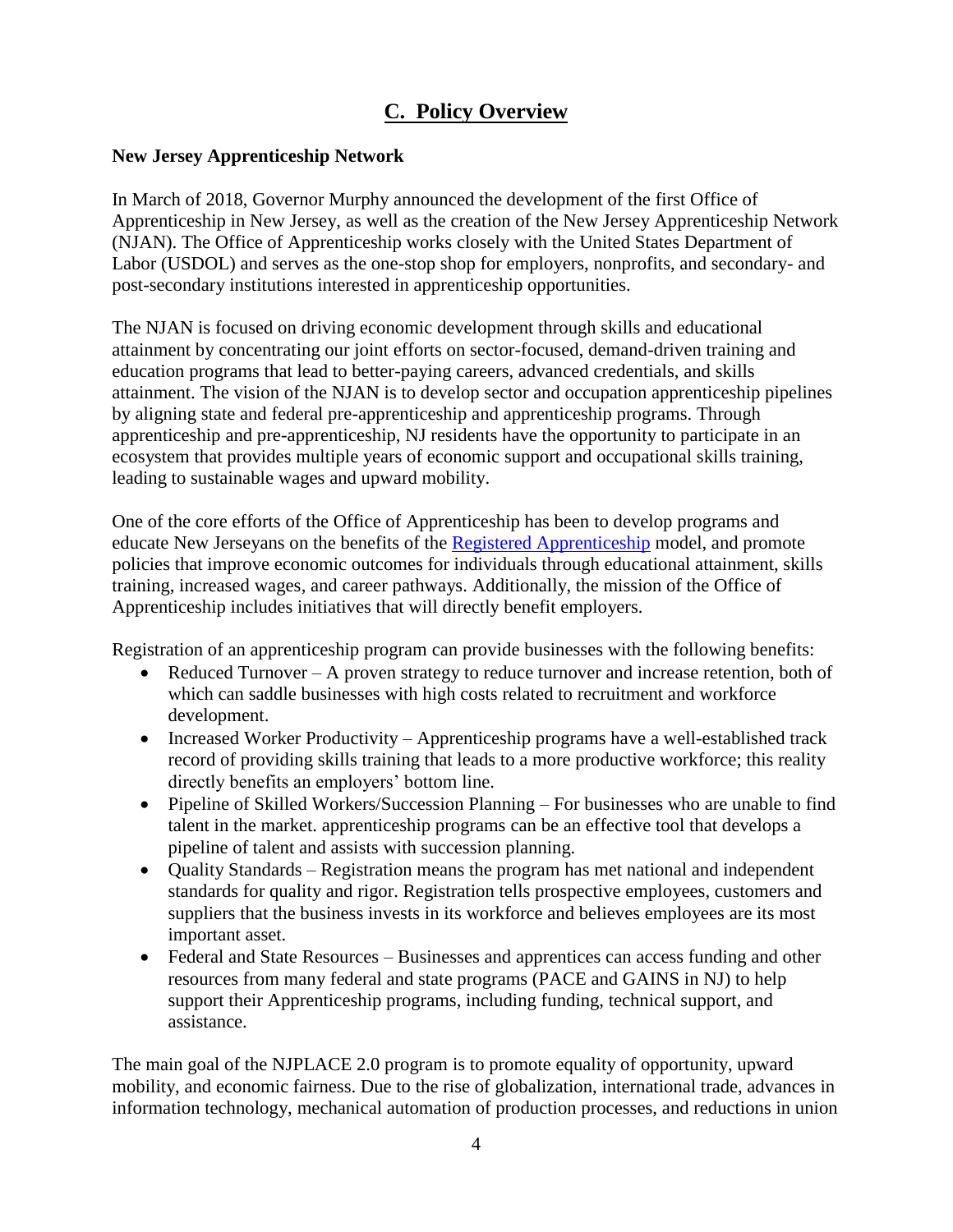# **C. Policy Overview**

#### **New Jersey Apprenticeship Network**

In March of 2018, Governor Murphy announced the development of the first Office of Apprenticeship in New Jersey, as well as the creation of the New Jersey Apprenticeship Network (NJAN). The Office of Apprenticeship works closely with the United States Department of Labor (USDOL) and serves as the one-stop shop for employers, nonprofits, and secondary- and post-secondary institutions interested in apprenticeship opportunities.

The NJAN is focused on driving economic development through skills and educational attainment by concentrating our joint efforts on sector-focused, demand-driven training and education programs that lead to better-paying careers, advanced credentials, and skills attainment. The vision of the NJAN is to develop sector and occupation apprenticeship pipelines by aligning state and federal pre-apprenticeship and apprenticeship programs. Through apprenticeship and pre-apprenticeship, NJ residents have the opportunity to participate in an ecosystem that provides multiple years of economic support and occupational skills training, leading to sustainable wages and upward mobility.

One of the core efforts of the Office of Apprenticeship has been to develop programs and educate New Jerseyans on the benefits of the [Registered Apprenticeship](https://www.apprenticeship.gov/registered-apprenticeship-program) model, and promote policies that improve economic outcomes for individuals through educational attainment, skills training, increased wages, and career pathways. Additionally, the mission of the Office of Apprenticeship includes initiatives that will directly benefit employers.

Registration of an apprenticeship program can provide businesses with the following benefits:

- Reduced Turnover A proven strategy to reduce turnover and increase retention, both of which can saddle businesses with high costs related to recruitment and workforce development.
- Increased Worker Productivity Apprenticeship programs have a well-established track record of providing skills training that leads to a more productive workforce; this reality directly benefits an employers' bottom line.
- Pipeline of Skilled Workers/Succession Planning For businesses who are unable to find talent in the market. apprenticeship programs can be an effective tool that develops a pipeline of talent and assists with succession planning.
- Quality Standards Registration means the program has met national and independent standards for quality and rigor. Registration tells prospective employees, customers and suppliers that the business invests in its workforce and believes employees are its most important asset.
- Federal and State Resources Businesses and apprentices can access funding and other resources from many federal and state programs (PACE and GAINS in NJ) to help support their Apprenticeship programs, including funding, technical support, and assistance.

The main goal of the NJPLACE 2.0 program is to promote equality of opportunity, upward mobility, and economic fairness. Due to the rise of globalization, international trade, advances in information technology, mechanical automation of production processes, and reductions in union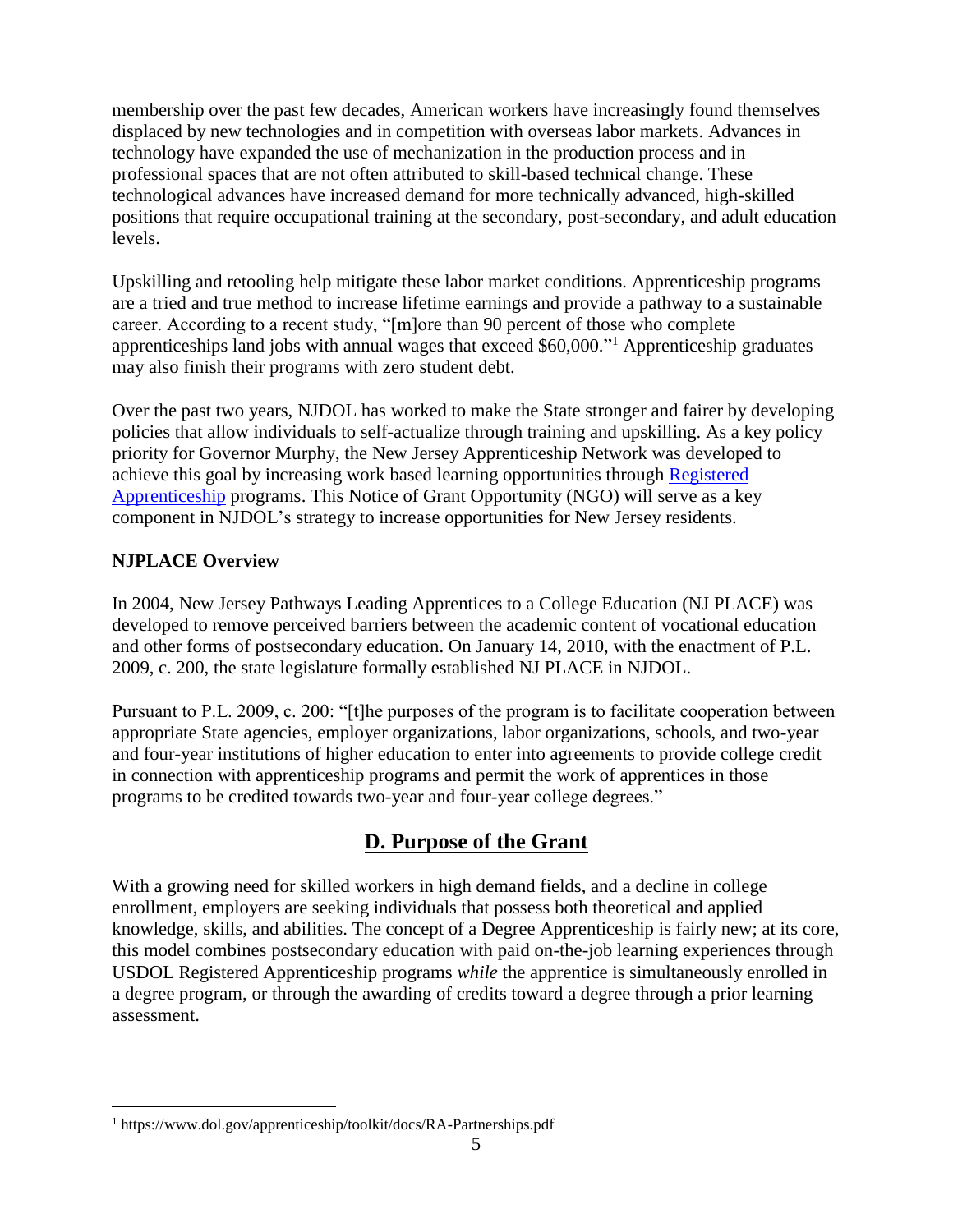membership over the past few decades, American workers have increasingly found themselves displaced by new technologies and in competition with overseas labor markets. Advances in technology have expanded the use of mechanization in the production process and in professional spaces that are not often attributed to skill-based technical change. These technological advances have increased demand for more technically advanced, high-skilled positions that require occupational training at the secondary, post-secondary, and adult education levels.

Upskilling and retooling help mitigate these labor market conditions. Apprenticeship programs are a tried and true method to increase lifetime earnings and provide a pathway to a sustainable career. According to a recent study, "[m]ore than 90 percent of those who complete apprenticeships land jobs with annual wages that exceed \$60,000." <sup>1</sup> Apprenticeship graduates may also finish their programs with zero student debt.

Over the past two years, NJDOL has worked to make the State stronger and fairer by developing policies that allow individuals to self-actualize through training and upskilling. As a key policy priority for Governor Murphy, the New Jersey Apprenticeship Network was developed to achieve this goal by increasing work based learning opportunities through [Registered](https://www.apprenticeship.gov/registered-apprenticeship-program)  [Apprenticeship](https://www.apprenticeship.gov/registered-apprenticeship-program) programs. This Notice of Grant Opportunity (NGO) will serve as a key component in NJDOL's strategy to increase opportunities for New Jersey residents.

### **NJPLACE Overview**

 $\overline{a}$ 

In 2004, New Jersey Pathways Leading Apprentices to a College Education (NJ PLACE) was developed to remove perceived barriers between the academic content of vocational education and other forms of postsecondary education. On January 14, 2010, with the enactment of P.L. 2009, c. 200, the state legislature formally established NJ PLACE in NJDOL.

Pursuant to P.L. 2009, c. 200: "[t]he purposes of the program is to facilitate cooperation between appropriate State agencies, employer organizations, labor organizations, schools, and two-year and four-year institutions of higher education to enter into agreements to provide college credit in connection with apprenticeship programs and permit the work of apprentices in those programs to be credited towards two-year and four-year college degrees."

# **D. Purpose of the Grant**

With a growing need for skilled workers in high demand fields, and a decline in college enrollment, employers are seeking individuals that possess both theoretical and applied knowledge, skills, and abilities. The concept of a Degree Apprenticeship is fairly new; at its core, this model combines postsecondary education with paid on-the-job learning experiences through USDOL Registered Apprenticeship programs *while* the apprentice is simultaneously enrolled in a degree program, or through the awarding of credits toward a degree through a prior learning assessment.

<sup>1</sup> https://www.dol.gov/apprenticeship/toolkit/docs/RA-Partnerships.pdf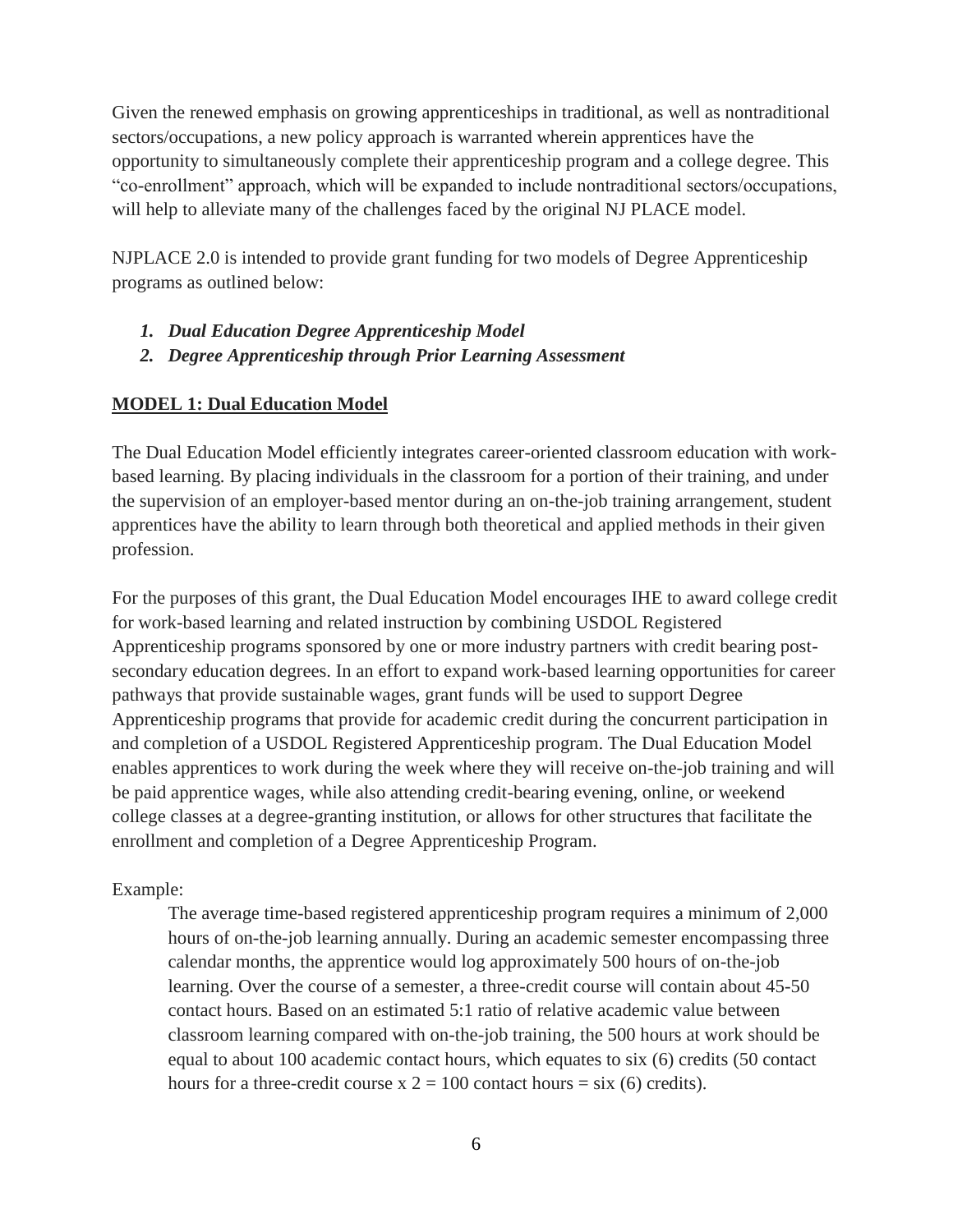Given the renewed emphasis on growing apprenticeships in traditional, as well as nontraditional sectors/occupations, a new policy approach is warranted wherein apprentices have the opportunity to simultaneously complete their apprenticeship program and a college degree. This "co-enrollment" approach, which will be expanded to include nontraditional sectors/occupations, will help to alleviate many of the challenges faced by the original NJ PLACE model.

NJPLACE 2.0 is intended to provide grant funding for two models of Degree Apprenticeship programs as outlined below:

- *1. Dual Education Degree Apprenticeship Model*
- *2. Degree Apprenticeship through Prior Learning Assessment*

### **MODEL 1: Dual Education Model**

The Dual Education Model efficiently integrates career-oriented classroom education with workbased learning. By placing individuals in the classroom for a portion of their training, and under the supervision of an employer-based mentor during an on-the-job training arrangement, student apprentices have the ability to learn through both theoretical and applied methods in their given profession.

For the purposes of this grant, the Dual Education Model encourages IHE to award college credit for work-based learning and related instruction by combining USDOL Registered Apprenticeship programs sponsored by one or more industry partners with credit bearing postsecondary education degrees. In an effort to expand work-based learning opportunities for career pathways that provide sustainable wages, grant funds will be used to support Degree Apprenticeship programs that provide for academic credit during the concurrent participation in and completion of a USDOL Registered Apprenticeship program. The Dual Education Model enables apprentices to work during the week where they will receive on-the-job training and will be paid apprentice wages, while also attending credit-bearing evening, online, or weekend college classes at a degree-granting institution, or allows for other structures that facilitate the enrollment and completion of a Degree Apprenticeship Program.

### Example:

The average time-based registered apprenticeship program requires a minimum of 2,000 hours of on-the-job learning annually. During an academic semester encompassing three calendar months, the apprentice would log approximately 500 hours of on-the-job learning. Over the course of a semester, a three-credit course will contain about 45-50 contact hours. Based on an estimated 5:1 ratio of relative academic value between classroom learning compared with on-the-job training, the 500 hours at work should be equal to about 100 academic contact hours, which equates to six (6) credits (50 contact hours for a three-credit course  $x = 100$  contact hours = six (6) credits).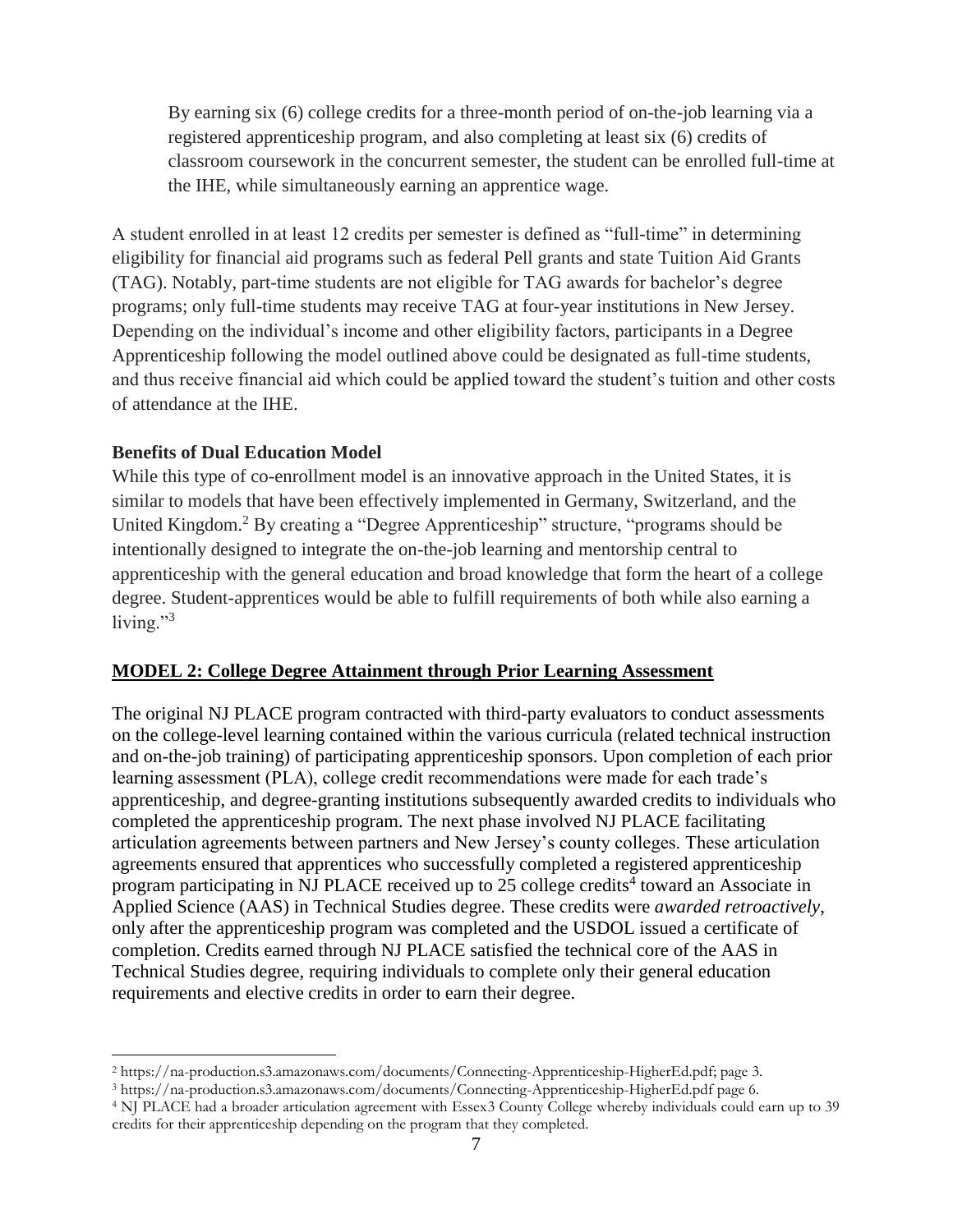By earning six (6) college credits for a three-month period of on-the-job learning via a registered apprenticeship program, and also completing at least six (6) credits of classroom coursework in the concurrent semester, the student can be enrolled full-time at the IHE, while simultaneously earning an apprentice wage.

A student enrolled in at least 12 credits per semester is defined as "full-time" in determining eligibility for financial aid programs such as federal Pell grants and state Tuition Aid Grants (TAG). Notably, part-time students are not eligible for TAG awards for bachelor's degree programs; only full-time students may receive TAG at four-year institutions in New Jersey. Depending on the individual's income and other eligibility factors, participants in a Degree Apprenticeship following the model outlined above could be designated as full-time students, and thus receive financial aid which could be applied toward the student's tuition and other costs of attendance at the IHE.

#### **Benefits of Dual Education Model**

 $\overline{a}$ 

While this type of co-enrollment model is an innovative approach in the United States, it is similar to models that have been effectively implemented in Germany, Switzerland, and the United Kingdom.<sup>2</sup> By creating a "Degree Apprenticeship" structure, "programs should be intentionally designed to integrate the on-the-job learning and mentorship central to apprenticeship with the general education and broad knowledge that form the heart of a college degree. Student-apprentices would be able to fulfill requirements of both while also earning a living." $3$ 

#### **MODEL 2: College Degree Attainment through Prior Learning Assessment**

The original NJ PLACE program contracted with third-party evaluators to conduct assessments on the college-level learning contained within the various curricula (related technical instruction and on-the-job training) of participating apprenticeship sponsors. Upon completion of each prior learning assessment (PLA), college credit recommendations were made for each trade's apprenticeship, and degree-granting institutions subsequently awarded credits to individuals who completed the apprenticeship program. The next phase involved NJ PLACE facilitating articulation agreements between partners and New Jersey's county colleges. These articulation agreements ensured that apprentices who successfully completed a registered apprenticeship program participating in NJ PLACE received up to 25 college credits<sup>4</sup> toward an Associate in Applied Science (AAS) in Technical Studies degree. These credits were *awarded retroactively*, only after the apprenticeship program was completed and the USDOL issued a certificate of completion. Credits earned through NJ PLACE satisfied the technical core of the AAS in Technical Studies degree, requiring individuals to complete only their general education requirements and elective credits in order to earn their degree.

<sup>2</sup> https://na-production.s3.amazonaws.com/documents/Connecting-Apprenticeship-HigherEd.pdf; page 3.

<sup>3</sup> https://na-production.s3.amazonaws.com/documents/Connecting-Apprenticeship-HigherEd.pdf page 6.

<sup>4</sup> NJ PLACE had a broader articulation agreement with Essex3 County College whereby individuals could earn up to 39 credits for their apprenticeship depending on the program that they completed.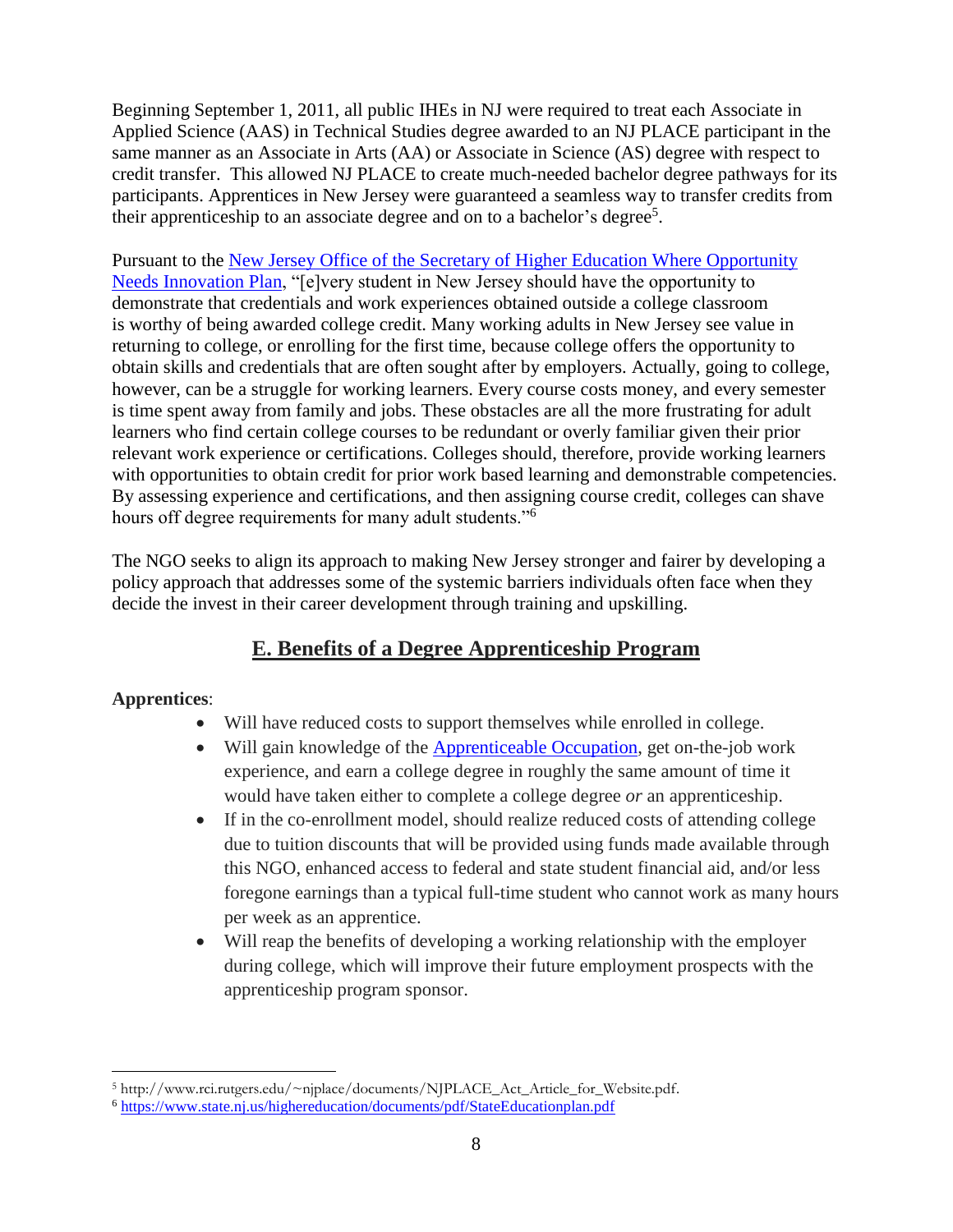Beginning September 1, 2011, all public IHEs in NJ were required to treat each Associate in Applied Science (AAS) in Technical Studies degree awarded to an NJ PLACE participant in the same manner as an Associate in Arts (AA) or Associate in Science (AS) degree with respect to credit transfer. This allowed NJ PLACE to create much-needed bachelor degree pathways for its participants. Apprentices in New Jersey were guaranteed a seamless way to transfer credits from their apprenticeship to an associate degree and on to a bachelor's degree<sup>5</sup>.

Pursuant to the [New Jersey Office of the Secretary of Higher Education Where Opportunity](https://www.state.nj.us/highereducation/documents/pdf/StateEducationplan.pdf)  [Needs Innovation Plan,](https://www.state.nj.us/highereducation/documents/pdf/StateEducationplan.pdf) "[e]very student in New Jersey should have the opportunity to demonstrate that credentials and work experiences obtained outside a college classroom is worthy of being awarded college credit. Many working adults in New Jersey see value in returning to college, or enrolling for the first time, because college offers the opportunity to obtain skills and credentials that are often sought after by employers. Actually, going to college, however, can be a struggle for working learners. Every course costs money, and every semester is time spent away from family and jobs. These obstacles are all the more frustrating for adult learners who find certain college courses to be redundant or overly familiar given their prior relevant work experience or certifications. Colleges should, therefore, provide working learners with opportunities to obtain credit for prior work based learning and demonstrable competencies. By assessing experience and certifications, and then assigning course credit, colleges can shave hours off degree requirements for many adult students."<sup>6</sup>

The NGO seeks to align its approach to making New Jersey stronger and fairer by developing a policy approach that addresses some of the systemic barriers individuals often face when they decide the invest in their career development through training and upskilling.

# **E. Benefits of a Degree Apprenticeship Program**

### **Apprentices**:

- Will have reduced costs to support themselves while enrolled in college.
- Will gain knowledge of the [Apprenticeable Occupation,](https://www.apprenticeship.gov/apprenticeship-occupations) get on-the-job work experience, and earn a college degree in roughly the same amount of time it would have taken either to complete a college degree *or* an apprenticeship.
- If in the co-enrollment model, should realize reduced costs of attending college due to tuition discounts that will be provided using funds made available through this NGO, enhanced access to federal and state student financial aid, and/or less foregone earnings than a typical full-time student who cannot work as many hours per week as an apprentice.
- Will reap the benefits of developing a working relationship with the employer during college, which will improve their future employment prospects with the apprenticeship program sponsor.

 $\overline{a}$ <sup>5</sup> http://www.rci.rutgers.edu/~njplace/documents/NJPLACE\_Act\_Article\_for\_Website.pdf.

<sup>6</sup> <https://www.state.nj.us/highereducation/documents/pdf/StateEducationplan.pdf>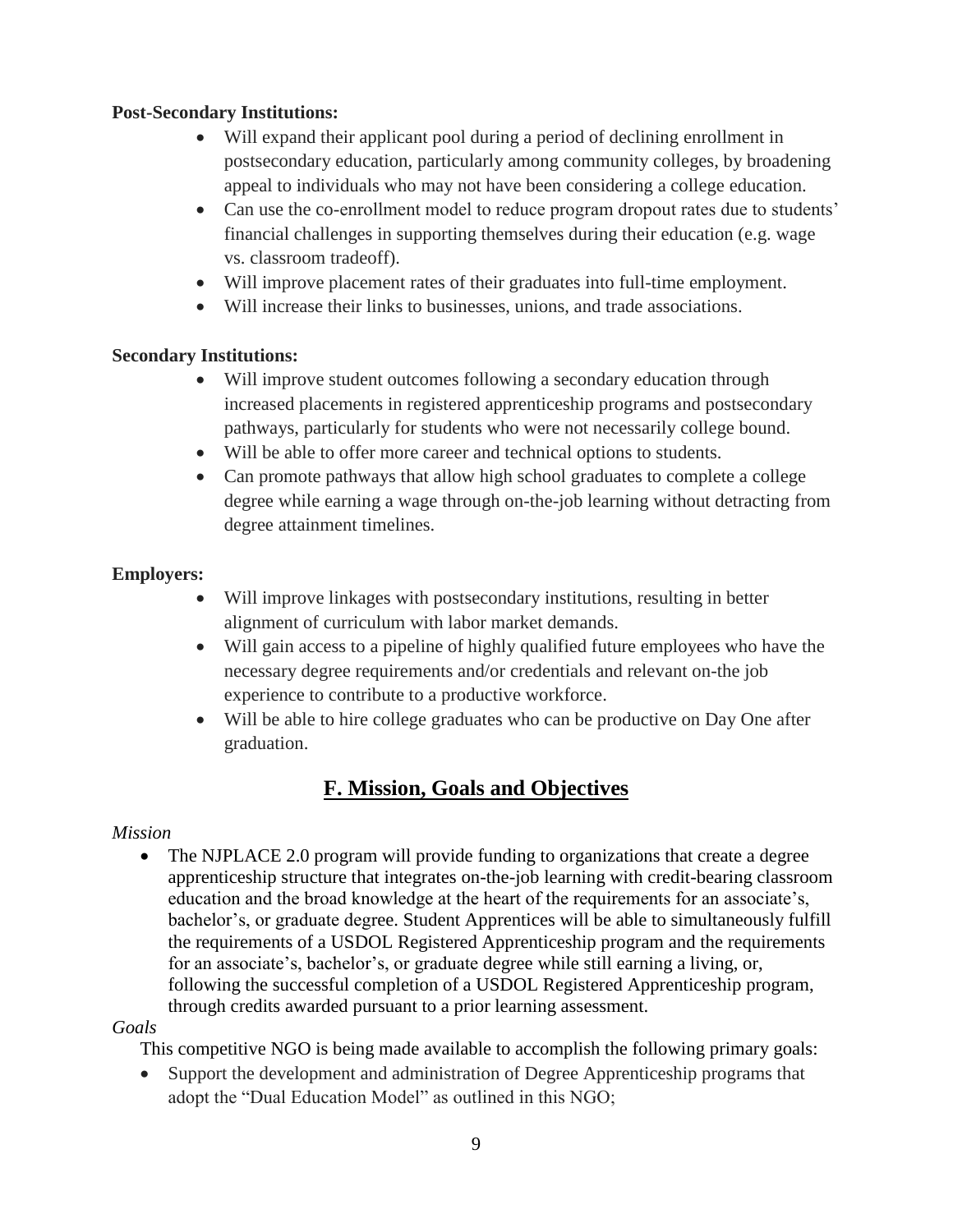### **Post-Secondary Institutions:**

- Will expand their applicant pool during a period of declining enrollment in postsecondary education, particularly among community colleges, by broadening appeal to individuals who may not have been considering a college education.
- Can use the co-enrollment model to reduce program dropout rates due to students' financial challenges in supporting themselves during their education (e.g. wage vs. classroom tradeoff).
- Will improve placement rates of their graduates into full-time employment.
- Will increase their links to businesses, unions, and trade associations.

### **Secondary Institutions:**

- Will improve student outcomes following a secondary education through increased placements in registered apprenticeship programs and postsecondary pathways, particularly for students who were not necessarily college bound.
- Will be able to offer more career and technical options to students.
- Can promote pathways that allow high school graduates to complete a college degree while earning a wage through on-the-job learning without detracting from degree attainment timelines.

### **Employers:**

- Will improve linkages with postsecondary institutions, resulting in better alignment of curriculum with labor market demands.
- Will gain access to a pipeline of highly qualified future employees who have the necessary degree requirements and/or credentials and relevant on-the job experience to contribute to a productive workforce.
- Will be able to hire college graduates who can be productive on Day One after graduation.

# **F. Mission, Goals and Objectives**

### *Mission*

• The NJPLACE 2.0 program will provide funding to organizations that create a degree apprenticeship structure that integrates on-the-job learning with credit-bearing classroom education and the broad knowledge at the heart of the requirements for an associate's, bachelor's, or graduate degree. Student Apprentices will be able to simultaneously fulfill the requirements of a USDOL Registered Apprenticeship program and the requirements for an associate's, bachelor's, or graduate degree while still earning a living, or, following the successful completion of a USDOL Registered Apprenticeship program, through credits awarded pursuant to a prior learning assessment.

#### *Goals*

This competitive NGO is being made available to accomplish the following primary goals:

• Support the development and administration of Degree Apprenticeship programs that adopt the "Dual Education Model" as outlined in this NGO;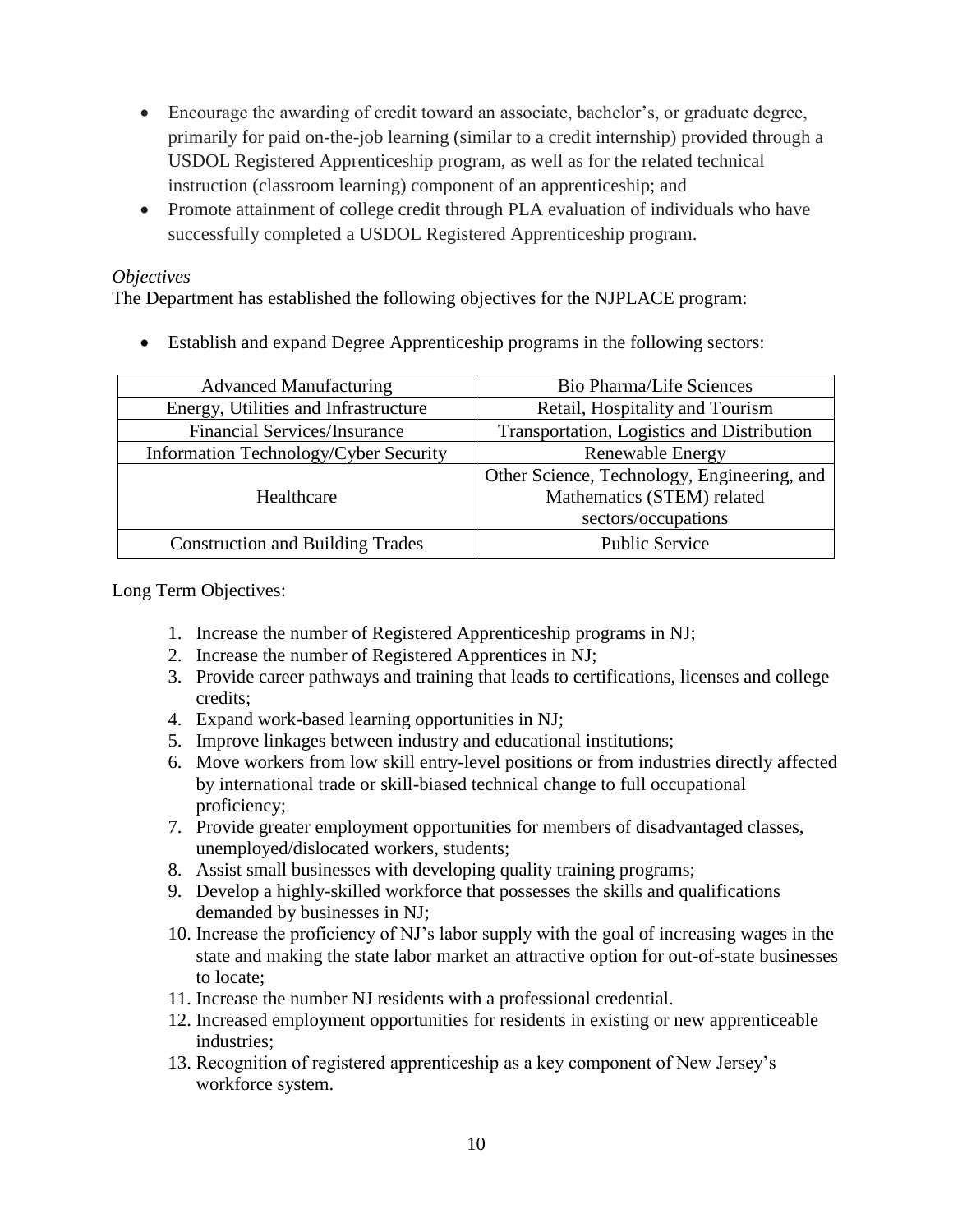- Encourage the awarding of credit toward an associate, bachelor's, or graduate degree, primarily for paid on-the-job learning (similar to a credit internship) provided through a USDOL Registered Apprenticeship program, as well as for the related technical instruction (classroom learning) component of an apprenticeship; and
- Promote attainment of college credit through PLA evaluation of individuals who have successfully completed a USDOL Registered Apprenticeship program.

### *Objectives*

The Department has established the following objectives for the NJPLACE program:

• Establish and expand Degree Apprenticeship programs in the following sectors:

| <b>Advanced Manufacturing</b>           | <b>Bio Pharma/Life Sciences</b>             |
|-----------------------------------------|---------------------------------------------|
| Energy, Utilities and Infrastructure    | Retail, Hospitality and Tourism             |
| <b>Financial Services/Insurance</b>     | Transportation, Logistics and Distribution  |
| Information Technology/Cyber Security   | Renewable Energy                            |
|                                         | Other Science, Technology, Engineering, and |
| Healthcare                              | Mathematics (STEM) related                  |
|                                         | sectors/occupations                         |
| <b>Construction and Building Trades</b> | <b>Public Service</b>                       |

Long Term Objectives:

- 1. Increase the number of Registered Apprenticeship programs in NJ;
- 2. Increase the number of Registered Apprentices in NJ;
- 3. Provide career pathways and training that leads to certifications, licenses and college credits;
- 4. Expand work-based learning opportunities in NJ;
- 5. Improve linkages between industry and educational institutions;
- 6. Move workers from low skill entry-level positions or from industries directly affected by international trade or skill-biased technical change to full occupational proficiency;
- 7. Provide greater employment opportunities for members of disadvantaged classes, unemployed/dislocated workers, students;
- 8. Assist small businesses with developing quality training programs;
- 9. Develop a highly-skilled workforce that possesses the skills and qualifications demanded by businesses in NJ;
- 10. Increase the proficiency of NJ's labor supply with the goal of increasing wages in the state and making the state labor market an attractive option for out-of-state businesses to locate;
- 11. Increase the number NJ residents with a professional credential.
- 12. Increased employment opportunities for residents in existing or new apprenticeable industries;
- 13. Recognition of registered apprenticeship as a key component of New Jersey's workforce system.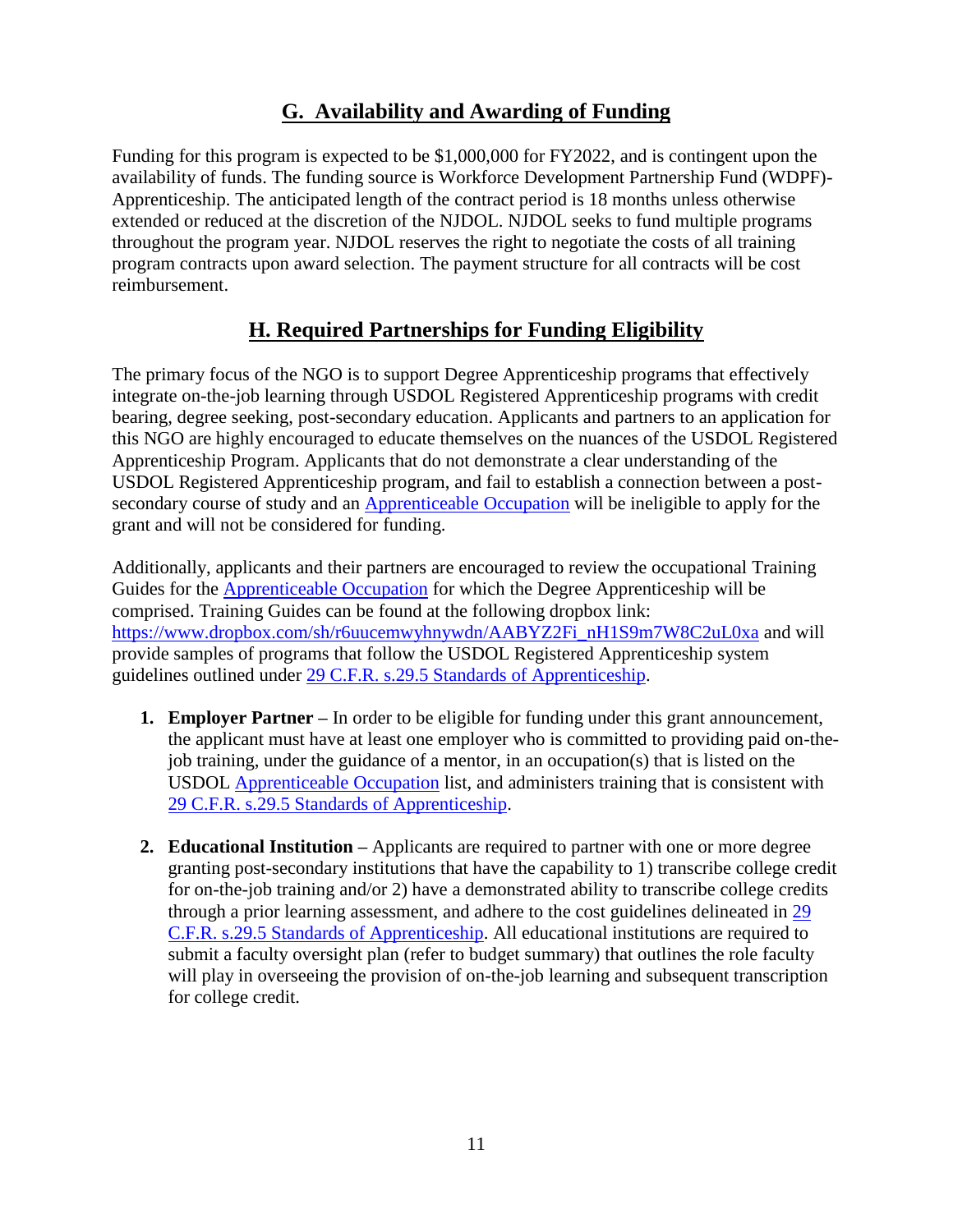# **G. Availability and Awarding of Funding**

Funding for this program is expected to be \$1,000,000 for FY2022, and is contingent upon the availability of funds. The funding source is Workforce Development Partnership Fund (WDPF)- Apprenticeship. The anticipated length of the contract period is 18 months unless otherwise extended or reduced at the discretion of the NJDOL. NJDOL seeks to fund multiple programs throughout the program year. NJDOL reserves the right to negotiate the costs of all training program contracts upon award selection. The payment structure for all contracts will be cost reimbursement.

## **H. Required Partnerships for Funding Eligibility**

The primary focus of the NGO is to support Degree Apprenticeship programs that effectively integrate on-the-job learning through USDOL Registered Apprenticeship programs with credit bearing, degree seeking, post-secondary education. Applicants and partners to an application for this NGO are highly encouraged to educate themselves on the nuances of the USDOL Registered Apprenticeship Program. Applicants that do not demonstrate a clear understanding of the USDOL Registered Apprenticeship program, and fail to establish a connection between a postsecondary course of study and an [Apprenticeable Occupation](https://www.apprenticeship.gov/apprenticeship-occupations) will be ineligible to apply for the grant and will not be considered for funding.

Additionally, applicants and their partners are encouraged to review the occupational Training Guides for the [Apprenticeable Occupation](https://www.apprenticeship.gov/apprenticeship-occupations) for which the Degree Apprenticeship will be comprised. Training Guides can be found at the following dropbox link: [https://www.dropbox.com/sh/r6uucemwyhnywdn/AABYZ2Fi\\_nH1S9m7W8C2uL0xa](https://www.dropbox.com/sh/r6uucemwyhnywdn/AABYZ2Fi_nH1S9m7W8C2uL0xa) and will provide samples of programs that follow the USDOL Registered Apprenticeship system guidelines outlined under [29 C.F.R. s.29.5 Standards](https://www.law.cornell.edu/cfr/text/29/29.5) of Apprenticeship.

- **1. Employer Partner –** In order to be eligible for funding under this grant announcement, the applicant must have at least one employer who is committed to providing paid on-thejob training, under the guidance of a mentor, in an occupation(s) that is listed on the USDOL [Apprenticeable Occupation](https://www.apprenticeship.gov/apprenticeship-occupations) list, and administers training that is consistent with [29 C.F.R. s.29.5 Standards of Apprenticeship.](https://www.law.cornell.edu/cfr/text/29/29.5)
- **2. Educational Institution –** Applicants are required to partner with one or more degree granting post-secondary institutions that have the capability to 1) transcribe college credit for on-the-job training and/or 2) have a demonstrated ability to transcribe college credits through a prior learning assessment, and adhere to the cost guidelines delineated in [29](https://www.law.cornell.edu/cfr/text/29/29.5)  [C.F.R. s.29.5 Standards of Apprenticeship.](https://www.law.cornell.edu/cfr/text/29/29.5) All educational institutions are required to submit a faculty oversight plan (refer to budget summary) that outlines the role faculty will play in overseeing the provision of on-the-job learning and subsequent transcription for college credit.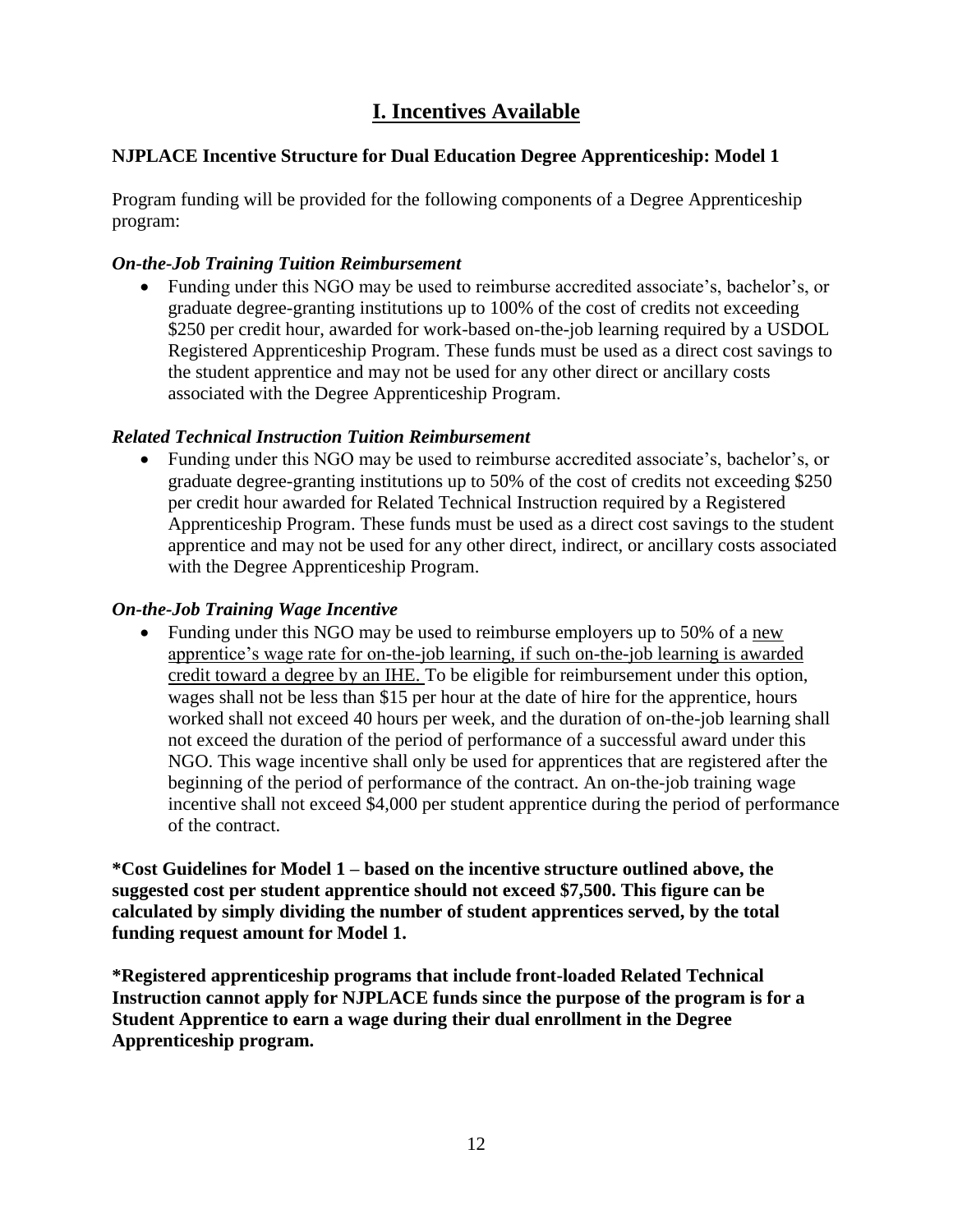# **I. Incentives Available**

### **NJPLACE Incentive Structure for Dual Education Degree Apprenticeship: Model 1**

Program funding will be provided for the following components of a Degree Apprenticeship program:

### *On-the-Job Training Tuition Reimbursement*

• Funding under this NGO may be used to reimburse accredited associate's, bachelor's, or graduate degree-granting institutions up to 100% of the cost of credits not exceeding \$250 per credit hour, awarded for work-based on-the-job learning required by a USDOL Registered Apprenticeship Program. These funds must be used as a direct cost savings to the student apprentice and may not be used for any other direct or ancillary costs associated with the Degree Apprenticeship Program.

### *Related Technical Instruction Tuition Reimbursement*

• Funding under this NGO may be used to reimburse accredited associate's, bachelor's, or graduate degree-granting institutions up to 50% of the cost of credits not exceeding \$250 per credit hour awarded for Related Technical Instruction required by a Registered Apprenticeship Program. These funds must be used as a direct cost savings to the student apprentice and may not be used for any other direct, indirect, or ancillary costs associated with the Degree Apprenticeship Program.

### *On-the-Job Training Wage Incentive*

• Funding under this NGO may be used to reimburse employers up to 50% of a new apprentice's wage rate for on-the-job learning, if such on-the-job learning is awarded credit toward a degree by an IHE. To be eligible for reimbursement under this option, wages shall not be less than \$15 per hour at the date of hire for the apprentice, hours worked shall not exceed 40 hours per week, and the duration of on-the-job learning shall not exceed the duration of the period of performance of a successful award under this NGO. This wage incentive shall only be used for apprentices that are registered after the beginning of the period of performance of the contract. An on-the-job training wage incentive shall not exceed \$4,000 per student apprentice during the period of performance of the contract.

**\*Cost Guidelines for Model 1 – based on the incentive structure outlined above, the suggested cost per student apprentice should not exceed \$7,500. This figure can be calculated by simply dividing the number of student apprentices served, by the total funding request amount for Model 1.**

**\*Registered apprenticeship programs that include front-loaded Related Technical Instruction cannot apply for NJPLACE funds since the purpose of the program is for a Student Apprentice to earn a wage during their dual enrollment in the Degree Apprenticeship program.**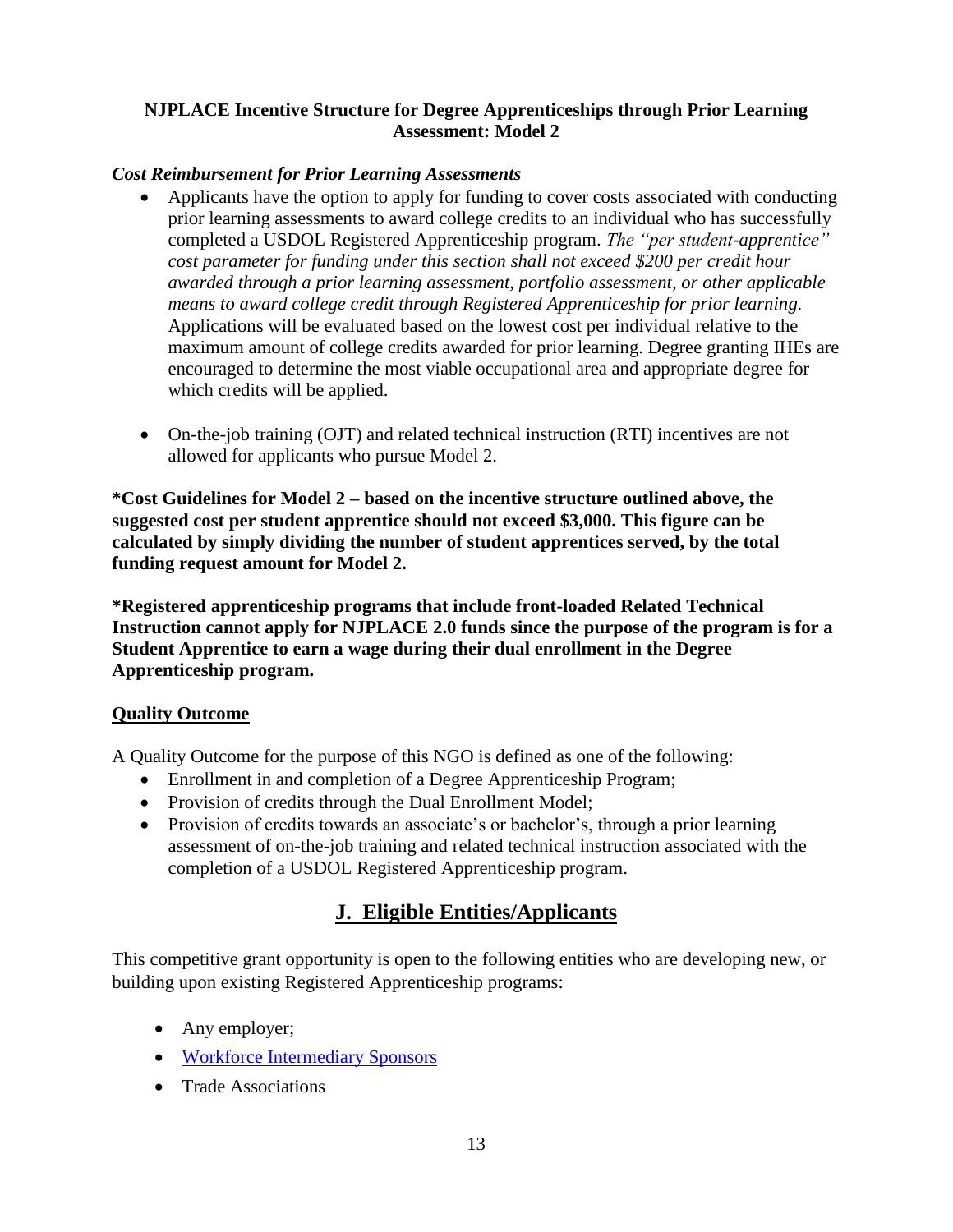### **NJPLACE Incentive Structure for Degree Apprenticeships through Prior Learning Assessment: Model 2**

### *Cost Reimbursement for Prior Learning Assessments*

- Applicants have the option to apply for funding to cover costs associated with conducting prior learning assessments to award college credits to an individual who has successfully completed a USDOL Registered Apprenticeship program. *The "per student-apprentice" cost parameter for funding under this section shall not exceed \$200 per credit hour awarded through a prior learning assessment, portfolio assessment, or other applicable means to award college credit through Registered Apprenticeship for prior learning.*  Applications will be evaluated based on the lowest cost per individual relative to the maximum amount of college credits awarded for prior learning. Degree granting IHEs are encouraged to determine the most viable occupational area and appropriate degree for which credits will be applied.
- On-the-job training (OJT) and related technical instruction (RTI) incentives are not allowed for applicants who pursue Model 2.

**\*Cost Guidelines for Model 2 – based on the incentive structure outlined above, the suggested cost per student apprentice should not exceed \$3,000. This figure can be calculated by simply dividing the number of student apprentices served, by the total funding request amount for Model 2.**

**\*Registered apprenticeship programs that include front-loaded Related Technical Instruction cannot apply for NJPLACE 2.0 funds since the purpose of the program is for a Student Apprentice to earn a wage during their dual enrollment in the Degree Apprenticeship program.**

### **Quality Outcome**

A Quality Outcome for the purpose of this NGO is defined as one of the following:

- Enrollment in and completion of a Degree Apprenticeship Program;
- Provision of credits through the Dual Enrollment Model;
- Provision of credits towards an associate's or bachelor's, through a prior learning assessment of on-the-job training and related technical instruction associated with the completion of a USDOL Registered Apprenticeship program.

# **J. Eligible Entities/Applicants**

This competitive grant opportunity is open to the following entities who are developing new, or building upon existing Registered Apprenticeship programs:

- Any employer;
- [Workforce Intermediary Sponsors](https://www.doleta.gov/oa/bul16/Bulletin_2016-26.pdf)
- Trade Associations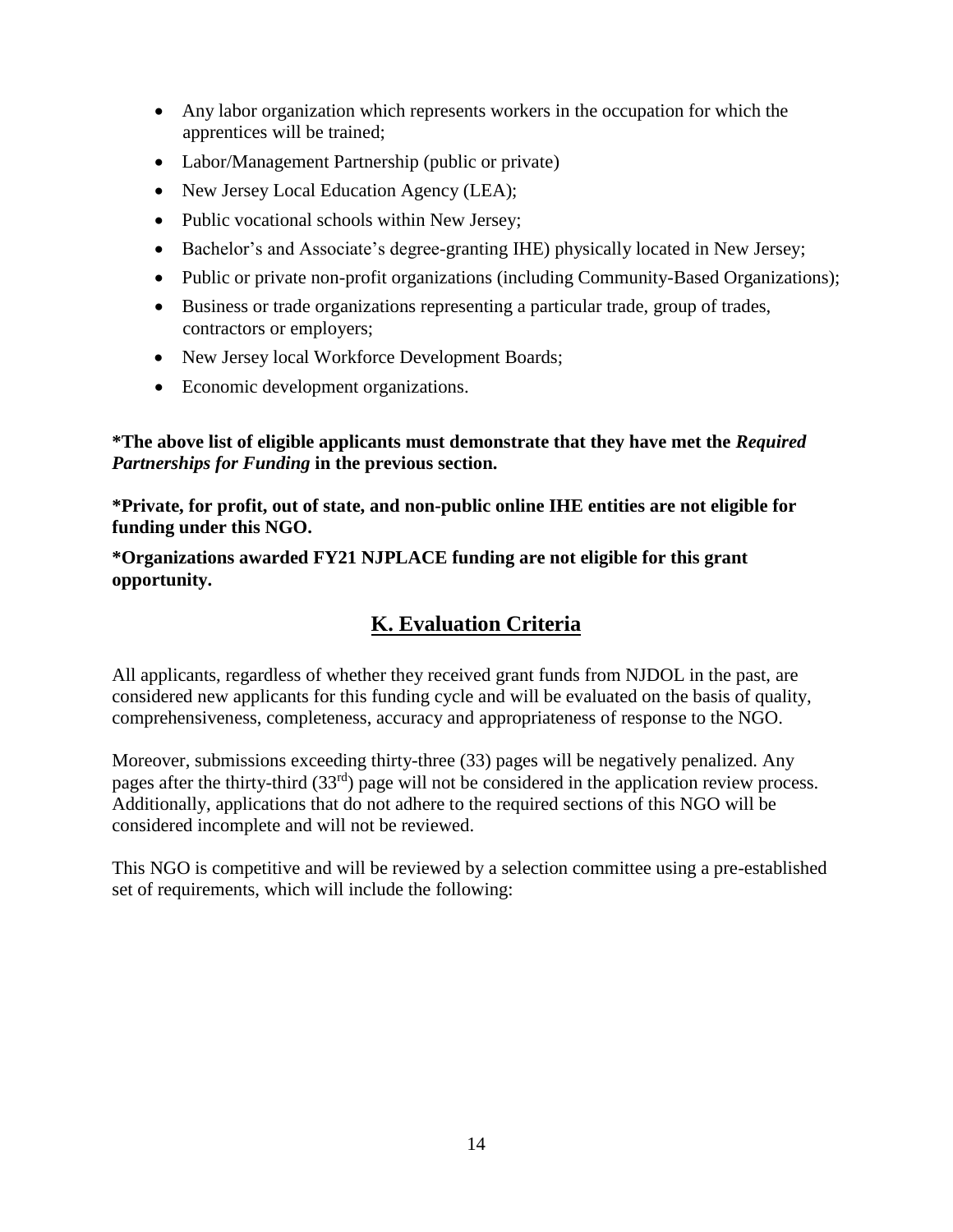- Any labor organization which represents workers in the occupation for which the apprentices will be trained;
- Labor/Management Partnership (public or private)
- New Jersey Local Education Agency (LEA);
- Public vocational schools within New Jersey;
- Bachelor's and Associate's degree-granting IHE) physically located in New Jersey;
- Public or private non-profit organizations (including Community-Based Organizations);
- Business or trade organizations representing a particular trade, group of trades, contractors or employers;
- New Jersey local Workforce Development Boards;
- Economic development organizations.

**\*The above list of eligible applicants must demonstrate that they have met the** *Required Partnerships for Funding* **in the previous section.**

**\*Private, for profit, out of state, and non-public online IHE entities are not eligible for funding under this NGO.**

**\*Organizations awarded FY21 NJPLACE funding are not eligible for this grant opportunity.**

# **K. Evaluation Criteria**

All applicants, regardless of whether they received grant funds from NJDOL in the past, are considered new applicants for this funding cycle and will be evaluated on the basis of quality, comprehensiveness, completeness, accuracy and appropriateness of response to the NGO.

Moreover, submissions exceeding thirty-three (33) pages will be negatively penalized. Any pages after the thirty-third (33rd) page will not be considered in the application review process. Additionally, applications that do not adhere to the required sections of this NGO will be considered incomplete and will not be reviewed.

This NGO is competitive and will be reviewed by a selection committee using a pre-established set of requirements, which will include the following: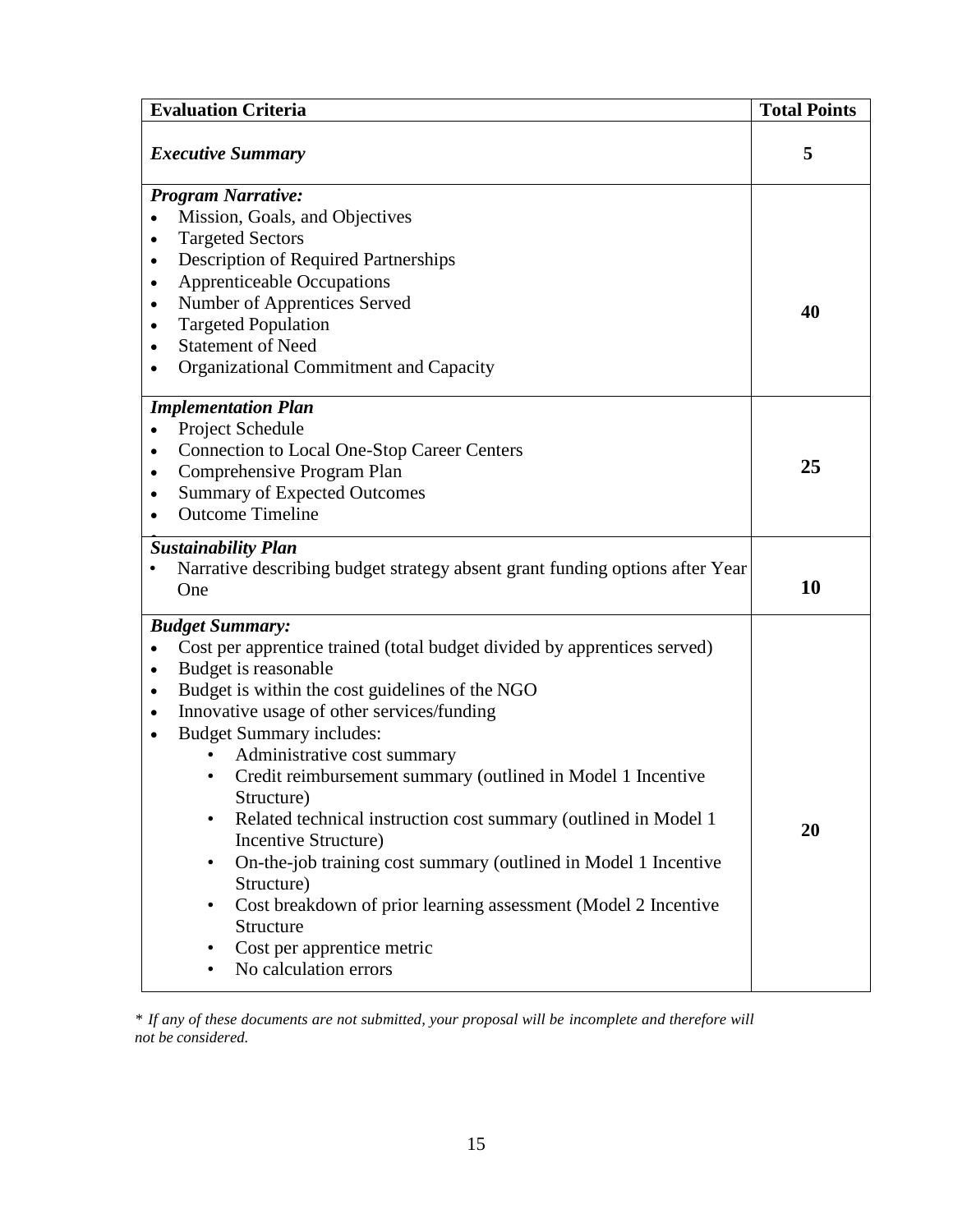| <b>Evaluation Criteria</b>                                                                 | <b>Total Points</b> |  |  |  |
|--------------------------------------------------------------------------------------------|---------------------|--|--|--|
| <b>Executive Summary</b>                                                                   | 5                   |  |  |  |
| <b>Program Narrative:</b>                                                                  |                     |  |  |  |
| Mission, Goals, and Objectives                                                             |                     |  |  |  |
| <b>Targeted Sectors</b>                                                                    |                     |  |  |  |
| Description of Required Partnerships<br>$\bullet$                                          |                     |  |  |  |
| <b>Apprenticeable Occupations</b><br>٠                                                     |                     |  |  |  |
| Number of Apprentices Served<br>$\bullet$                                                  | 40                  |  |  |  |
| <b>Targeted Population</b><br>٠                                                            |                     |  |  |  |
| <b>Statement of Need</b>                                                                   |                     |  |  |  |
| Organizational Commitment and Capacity                                                     |                     |  |  |  |
| <b>Implementation Plan</b>                                                                 |                     |  |  |  |
| Project Schedule                                                                           |                     |  |  |  |
| <b>Connection to Local One-Stop Career Centers</b><br>$\bullet$                            |                     |  |  |  |
| Comprehensive Program Plan<br>$\bullet$                                                    | 25                  |  |  |  |
| <b>Summary of Expected Outcomes</b>                                                        |                     |  |  |  |
| <b>Outcome Timeline</b>                                                                    |                     |  |  |  |
| <b>Sustainability Plan</b>                                                                 |                     |  |  |  |
| Narrative describing budget strategy absent grant funding options after Year<br>One        | 10                  |  |  |  |
| <b>Budget Summary:</b>                                                                     |                     |  |  |  |
| Cost per apprentice trained (total budget divided by apprentices served)                   |                     |  |  |  |
| Budget is reasonable<br>$\bullet$                                                          |                     |  |  |  |
| Budget is within the cost guidelines of the NGO<br>$\bullet$                               |                     |  |  |  |
| Innovative usage of other services/funding<br>$\bullet$                                    |                     |  |  |  |
| <b>Budget Summary includes:</b><br>$\bullet$                                               |                     |  |  |  |
| Administrative cost summary                                                                |                     |  |  |  |
| Credit reimbursement summary (outlined in Model 1 Incentive<br>$\bullet$                   |                     |  |  |  |
| Structure)                                                                                 |                     |  |  |  |
| Related technical instruction cost summary (outlined in Model 1)<br>$\bullet$              | 20                  |  |  |  |
| Incentive Structure)                                                                       |                     |  |  |  |
| On-the-job training cost summary (outlined in Model 1 Incentive<br>$\bullet$<br>Structure) |                     |  |  |  |
| Cost breakdown of prior learning assessment (Model 2 Incentive<br>$\bullet$                |                     |  |  |  |
| Structure                                                                                  |                     |  |  |  |
| Cost per apprentice metric                                                                 |                     |  |  |  |
| No calculation errors<br>$\bullet$                                                         |                     |  |  |  |
|                                                                                            |                     |  |  |  |

*\* If any of these documents are not submitted, your proposal will be incomplete and therefore will not be considered.*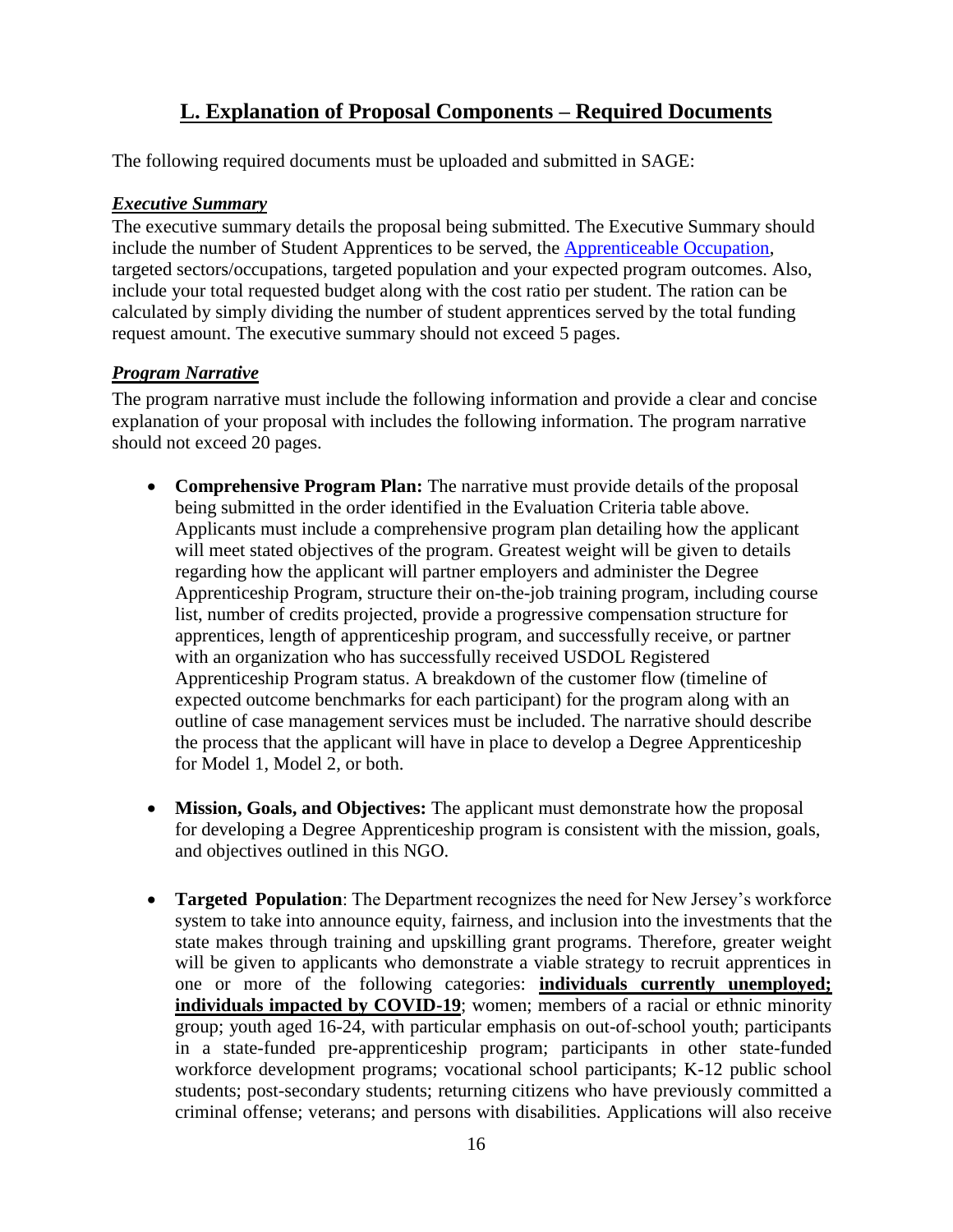# **L. Explanation of Proposal Components – Required Documents**

The following required documents must be uploaded and submitted in SAGE:

#### *Executive Summary*

The executive summary details the proposal being submitted. The Executive Summary should include the number of Student Apprentices to be served, the [Apprenticeable Occupation,](https://www.apprenticeship.gov/apprenticeship-occupations) targeted sectors/occupations, targeted population and your expected program outcomes. Also, include your total requested budget along with the cost ratio per student. The ration can be calculated by simply dividing the number of student apprentices served by the total funding request amount. The executive summary should not exceed 5 pages.

### *Program Narrative*

The program narrative must include the following information and provide a clear and concise explanation of your proposal with includes the following information. The program narrative should not exceed 20 pages.

- **Comprehensive Program Plan:** The narrative must provide details of the proposal being submitted in the order identified in the Evaluation Criteria table above. Applicants must include a comprehensive program plan detailing how the applicant will meet stated objectives of the program. Greatest weight will be given to details regarding how the applicant will partner employers and administer the Degree Apprenticeship Program, structure their on-the-job training program, including course list, number of credits projected, provide a progressive compensation structure for apprentices, length of apprenticeship program, and successfully receive, or partner with an organization who has successfully received USDOL Registered Apprenticeship Program status. A breakdown of the customer flow (timeline of expected outcome benchmarks for each participant) for the program along with an outline of case management services must be included. The narrative should describe the process that the applicant will have in place to develop a Degree Apprenticeship for Model 1, Model 2, or both.
- **Mission, Goals, and Objectives:** The applicant must demonstrate how the proposal for developing a Degree Apprenticeship program is consistent with the mission, goals, and objectives outlined in this NGO.
- **Targeted Population**: The Department recognizes the need for New Jersey's workforce system to take into announce equity, fairness, and inclusion into the investments that the state makes through training and upskilling grant programs. Therefore, greater weight will be given to applicants who demonstrate a viable strategy to recruit apprentices in one or more of the following categories: **individuals currently unemployed; individuals impacted by COVID-19**; women; members of a racial or ethnic minority group; youth aged 16-24, with particular emphasis on out-of-school youth; participants in a state-funded pre-apprenticeship program; participants in other state-funded workforce development programs; vocational school participants; K-12 public school students; post-secondary students; returning citizens who have previously committed a criminal offense; veterans; and persons with disabilities. Applications will also receive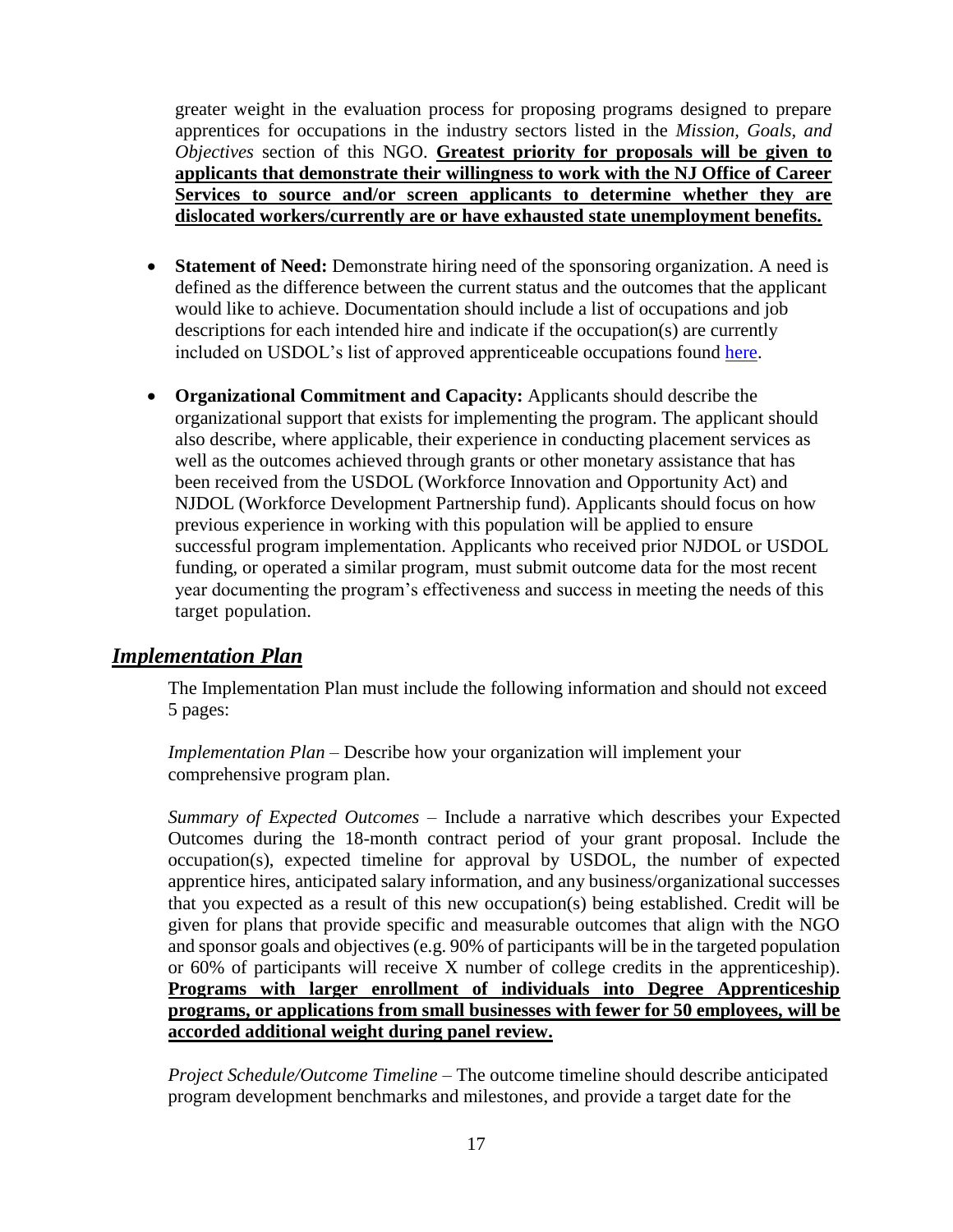greater weight in the evaluation process for proposing programs designed to prepare apprentices for occupations in the industry sectors listed in the *Mission, Goals, and Objectives* section of this NGO. **Greatest priority for proposals will be given to applicants that demonstrate their willingness to work with the NJ Office of Career Services to source and/or screen applicants to determine whether they are dislocated workers/currently are or have exhausted state unemployment benefits.**

- **Statement of Need:** Demonstrate hiring need of the sponsoring organization. A need is defined as the difference between the current status and the outcomes that the applicant would like to achieve. Documentation should include a list of occupations and job descriptions for each intended hire and indicate if the occupation(s) are currently included on USDOL's list of approved apprenticeable occupations found [here.](https://www.apprenticeship.gov/apprenticeship-occupations)
- **Organizational Commitment and Capacity:** Applicants should describe the organizational support that exists for implementing the program. The applicant should also describe, where applicable, their experience in conducting placement services as well as the outcomes achieved through grants or other monetary assistance that has been received from the USDOL (Workforce Innovation and Opportunity Act) and NJDOL (Workforce Development Partnership fund). Applicants should focus on how previous experience in working with this population will be applied to ensure successful program implementation. Applicants who received prior NJDOL or USDOL funding, or operated a similar program, must submit outcome data for the most recent year documenting the program's effectiveness and success in meeting the needs of this target population.

### *Implementation Plan*

The Implementation Plan must include the following information and should not exceed 5 pages:

*Implementation Plan* – Describe how your organization will implement your comprehensive program plan.

*Summary of Expected Outcomes* – Include a narrative which describes your Expected Outcomes during the 18-month contract period of your grant proposal. Include the occupation(s), expected timeline for approval by USDOL, the number of expected apprentice hires, anticipated salary information, and any business/organizational successes that you expected as a result of this new occupation(s) being established. Credit will be given for plans that provide specific and measurable outcomes that align with the NGO and sponsor goals and objectives (e.g. 90% of participants will be in the targeted population or 60% of participants will receive X number of college credits in the apprenticeship). **Programs with larger enrollment of individuals into Degree Apprenticeship programs, or applications from small businesses with fewer for 50 employees, will be accorded additional weight during panel review.**

*Project Schedule/Outcome Timeline –* The outcome timeline should describe anticipated program development benchmarks and milestones, and provide a target date for the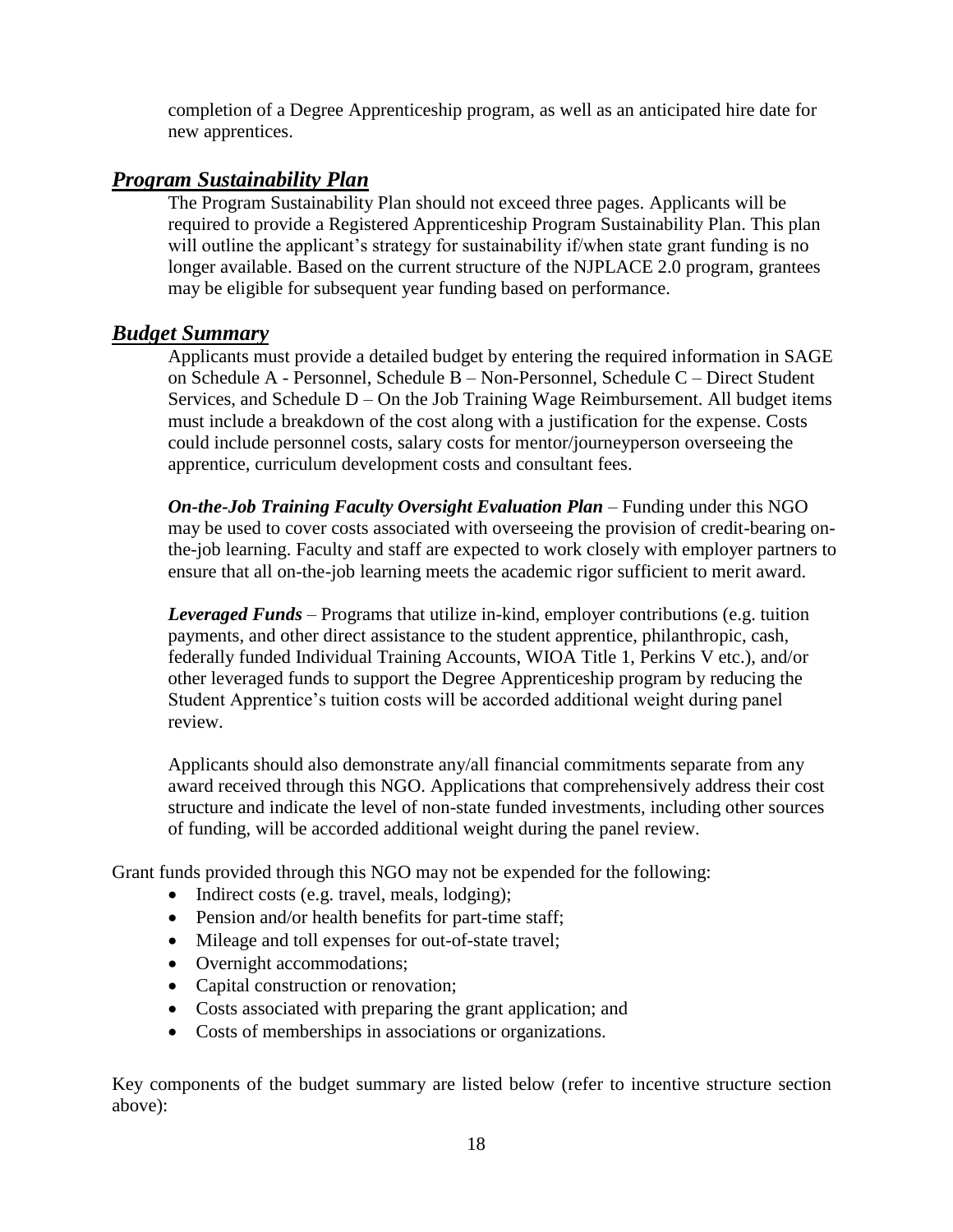completion of a Degree Apprenticeship program, as well as an anticipated hire date for new apprentices.

### *Program Sustainability Plan*

The Program Sustainability Plan should not exceed three pages. Applicants will be required to provide a Registered Apprenticeship Program Sustainability Plan. This plan will outline the applicant's strategy for sustainability if/when state grant funding is no longer available. Based on the current structure of the NJPLACE 2.0 program, grantees may be eligible for subsequent year funding based on performance.

### *Budget Summary*

Applicants must provide a detailed budget by entering the required information in SAGE on Schedule A - Personnel, Schedule B – Non-Personnel, Schedule C – Direct Student Services, and Schedule D – On the Job Training Wage Reimbursement. All budget items must include a breakdown of the cost along with a justification for the expense. Costs could include personnel costs, salary costs for mentor/journeyperson overseeing the apprentice, curriculum development costs and consultant fees.

*On-the-Job Training Faculty Oversight Evaluation Plan* – Funding under this NGO may be used to cover costs associated with overseeing the provision of credit-bearing onthe-job learning. Faculty and staff are expected to work closely with employer partners to ensure that all on-the-job learning meets the academic rigor sufficient to merit award.

*Leveraged Funds* – Programs that utilize in-kind, employer contributions (e.g. tuition payments, and other direct assistance to the student apprentice, philanthropic, cash, federally funded Individual Training Accounts, WIOA Title 1, Perkins V etc.), and/or other leveraged funds to support the Degree Apprenticeship program by reducing the Student Apprentice's tuition costs will be accorded additional weight during panel review.

Applicants should also demonstrate any/all financial commitments separate from any award received through this NGO. Applications that comprehensively address their cost structure and indicate the level of non-state funded investments, including other sources of funding, will be accorded additional weight during the panel review.

Grant funds provided through this NGO may not be expended for the following:

- Indirect costs (e.g. travel, meals, lodging);
- Pension and/or health benefits for part-time staff;
- Mileage and toll expenses for out-of-state travel;
- Overnight accommodations;
- Capital construction or renovation;
- Costs associated with preparing the grant application; and
- Costs of memberships in associations or organizations.

Key components of the budget summary are listed below (refer to incentive structure section above):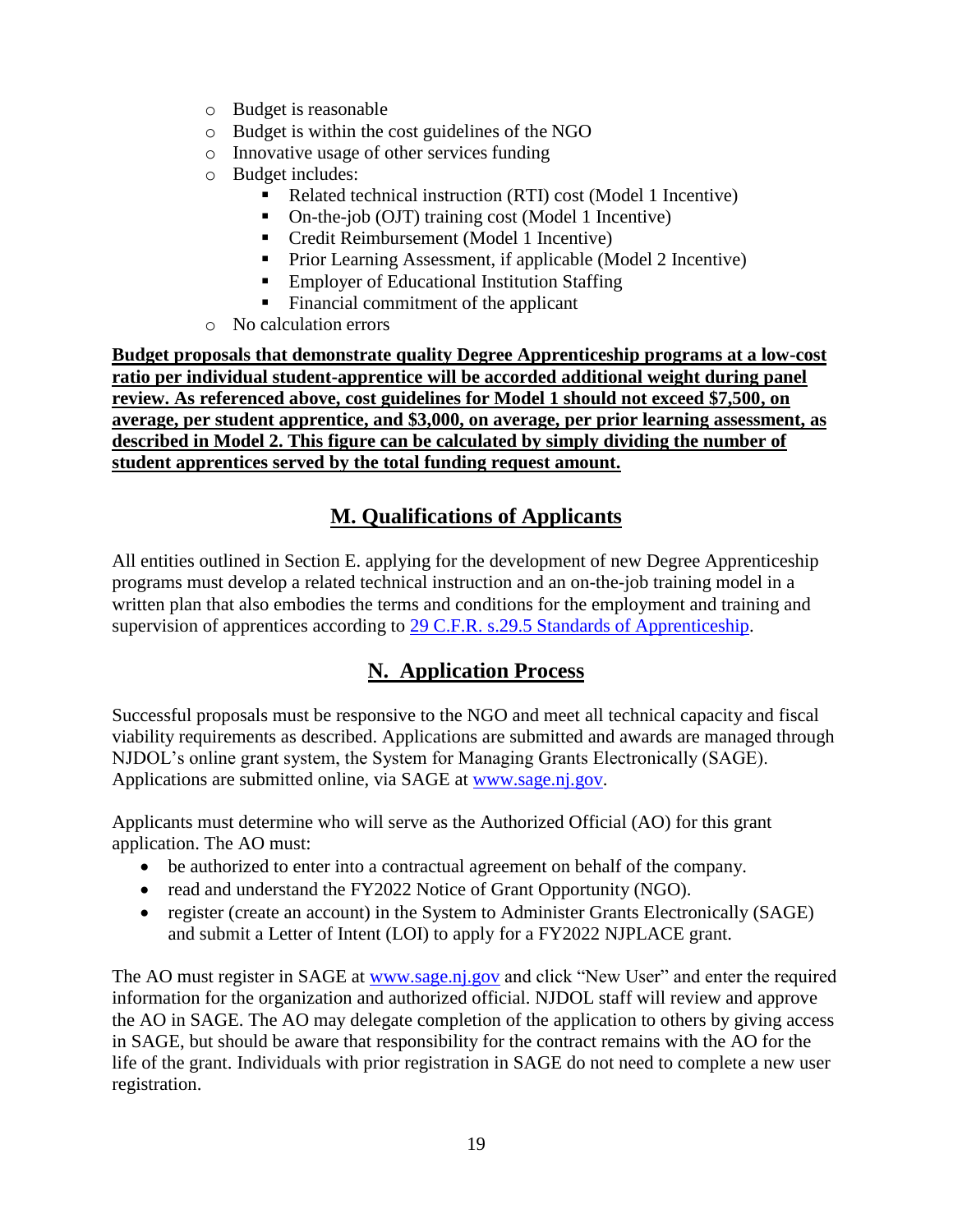- o Budget is reasonable
- o Budget is within the cost guidelines of the NGO
- o Innovative usage of other services funding
- o Budget includes:
	- Related technical instruction (RTI) cost (Model 1 Incentive)
	- On-the-job (OJT) training cost (Model 1 Incentive)
	- Credit Reimbursement (Model 1 Incentive)
	- Prior Learning Assessment, if applicable (Model 2 Incentive)
	- Employer of Educational Institution Staffing
	- Financial commitment of the applicant
- o No calculation errors

**Budget proposals that demonstrate quality Degree Apprenticeship programs at a low-cost ratio per individual student-apprentice will be accorded additional weight during panel review. As referenced above, cost guidelines for Model 1 should not exceed \$7,500, on average, per student apprentice, and \$3,000, on average, per prior learning assessment, as described in Model 2. This figure can be calculated by simply dividing the number of student apprentices served by the total funding request amount.**

# **M. Qualifications of Applicants**

All entities outlined in Section E. applying for the development of new Degree Apprenticeship programs must develop a related technical instruction and an on-the-job training model in a written plan that also embodies the terms and conditions for the employment and training and supervision of apprentices according to [29 C.F.R. s.29.5 Standards of Apprenticeship.](https://www.law.cornell.edu/cfr/text/29/29.5)

# **N. Application Process**

Successful proposals must be responsive to the NGO and meet all technical capacity and fiscal viability requirements as described. Applications are submitted and awards are managed through NJDOL's online grant system, the System for Managing Grants Electronically (SAGE). Applications are submitted online, via SAGE at [www.sage.nj.gov.](http://www.sage.nj.gov/)

Applicants must determine who will serve as the Authorized Official (AO) for this grant application. The AO must:

- be authorized to enter into a contractual agreement on behalf of the company.
- read and understand the FY2022 Notice of Grant Opportunity (NGO).
- register (create an account) in the System to Administer Grants Electronically (SAGE) and submit a Letter of Intent (LOI) to apply for a FY2022 NJPLACE grant.

The AO must register in SAGE at [www.sage.nj.gov](http://www.sage.nj.gov/) and click "New User" and enter the required information for the organization and authorized official. NJDOL staff will review and approve the AO in SAGE. The AO may delegate completion of the application to others by giving access in SAGE, but should be aware that responsibility for the contract remains with the AO for the life of the grant. Individuals with prior registration in SAGE do not need to complete a new user registration.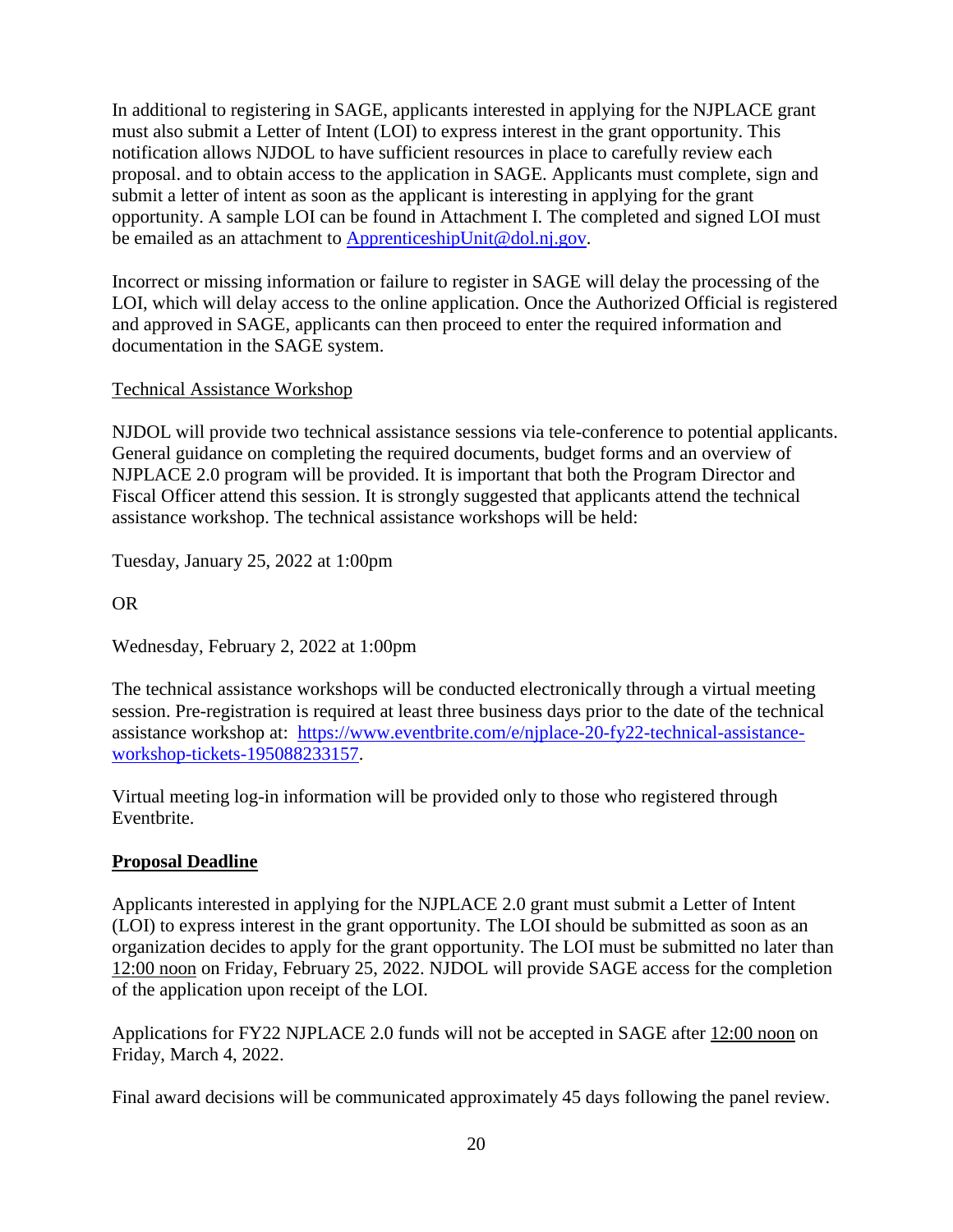In additional to registering in SAGE, applicants interested in applying for the NJPLACE grant must also submit a Letter of Intent (LOI) to express interest in the grant opportunity. This notification allows NJDOL to have sufficient resources in place to carefully review each proposal. and to obtain access to the application in SAGE. Applicants must complete, sign and submit a letter of intent as soon as the applicant is interesting in applying for the grant opportunity. A sample LOI can be found in Attachment I. The completed and signed LOI must be emailed as an attachment to [ApprenticeshipUnit@dol.nj.gov.](mailto:ApprenticeshipUnit@dol.nj.gov)

Incorrect or missing information or failure to register in SAGE will delay the processing of the LOI, which will delay access to the online application. Once the Authorized Official is registered and approved in SAGE, applicants can then proceed to enter the required information and documentation in the SAGE system.

### Technical Assistance Workshop

NJDOL will provide two technical assistance sessions via tele-conference to potential applicants. General guidance on completing the required documents, budget forms and an overview of NJPLACE 2.0 program will be provided. It is important that both the Program Director and Fiscal Officer attend this session. It is strongly suggested that applicants attend the technical assistance workshop. The technical assistance workshops will be held:

Tuesday, January 25, 2022 at 1:00pm

OR

Wednesday, February 2, 2022 at 1:00pm

The technical assistance workshops will be conducted electronically through a virtual meeting session. Pre-registration is required at least three business days prior to the date of the technical assistance workshop at: [https://www.eventbrite.com/e/njplace-20-fy22-technical-assistance](https://www.eventbrite.com/e/njplace-20-fy22-technical-assistance-workshop-tickets-195088233157)[workshop-tickets-195088233157.](https://www.eventbrite.com/e/njplace-20-fy22-technical-assistance-workshop-tickets-195088233157)

Virtual meeting log-in information will be provided only to those who registered through Eventbrite.

### **Proposal Deadline**

Applicants interested in applying for the NJPLACE 2.0 grant must submit a Letter of Intent (LOI) to express interest in the grant opportunity. The LOI should be submitted as soon as an organization decides to apply for the grant opportunity. The LOI must be submitted no later than 12:00 noon on Friday, February 25, 2022. NJDOL will provide SAGE access for the completion of the application upon receipt of the LOI.

Applications for FY22 NJPLACE 2.0 funds will not be accepted in SAGE after 12:00 noon on Friday, March 4, 2022.

Final award decisions will be communicated approximately 45 days following the panel review.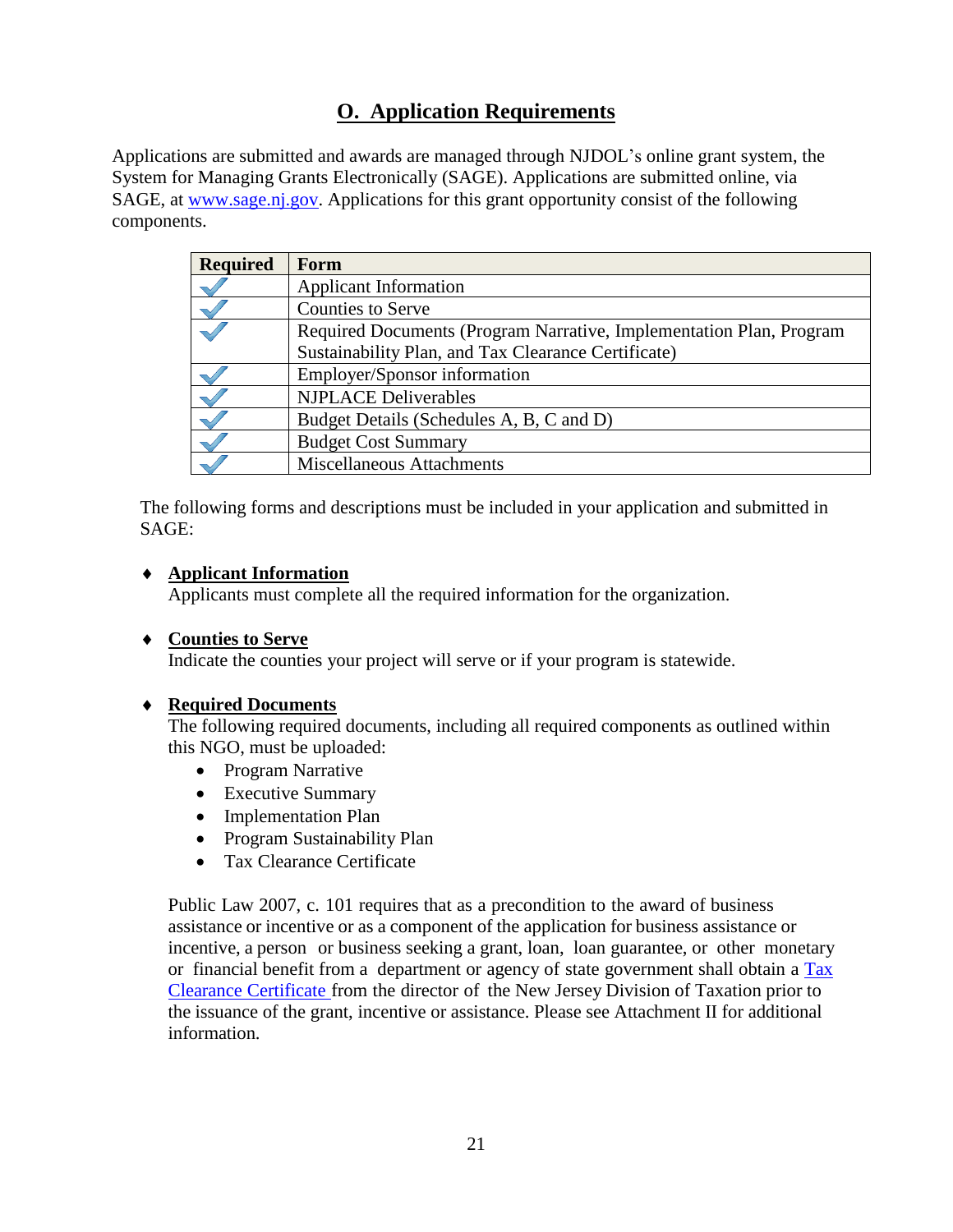# **O. Application Requirements**

Applications are submitted and awards are managed through NJDOL's online grant system, the System for Managing Grants Electronically (SAGE). Applications are submitted online, via SAGE, at [www.sage.nj.gov.](http://www.sage.nj.gov/) Applications for this grant opportunity consist of the following components.

| <b>Required</b> | Form                                                                |
|-----------------|---------------------------------------------------------------------|
|                 | <b>Applicant Information</b>                                        |
|                 | <b>Counties to Serve</b>                                            |
|                 | Required Documents (Program Narrative, Implementation Plan, Program |
|                 | Sustainability Plan, and Tax Clearance Certificate)                 |
|                 | Employer/Sponsor information                                        |
|                 | <b>NJPLACE Deliverables</b>                                         |
|                 | Budget Details (Schedules A, B, C and D)                            |
|                 | <b>Budget Cost Summary</b>                                          |
|                 | <b>Miscellaneous Attachments</b>                                    |

The following forms and descriptions must be included in your application and submitted in SAGE:

#### **Applicant Information**

Applicants must complete all the required information for the organization.

#### **Counties to Serve**

Indicate the counties your project will serve or if your program is statewide.

### **Required Documents**

The following required documents, including all required components as outlined within this NGO, must be uploaded:

- Program Narrative
- Executive Summary
- Implementation Plan
- Program Sustainability Plan
- Tax Clearance Certificate

Public Law 2007, c. 101 requires that as a precondition to the award of business assistance or incentive or as a component of the application for business assistance or incentive, a person or business seeking a grant, loan, loan guarantee, or other monetary or financial benefit from a department or agency of state government shall obtain a [Tax](http://www.state.nj.us/treasury/taxation/busasst.shtml) Clearance [Certificate](http://www.state.nj.us/treasury/taxation/busasst.shtml) from the director of the New Jersey Division of Taxation prior to the issuance of the grant, incentive or assistance. Please see Attachment II for additional information.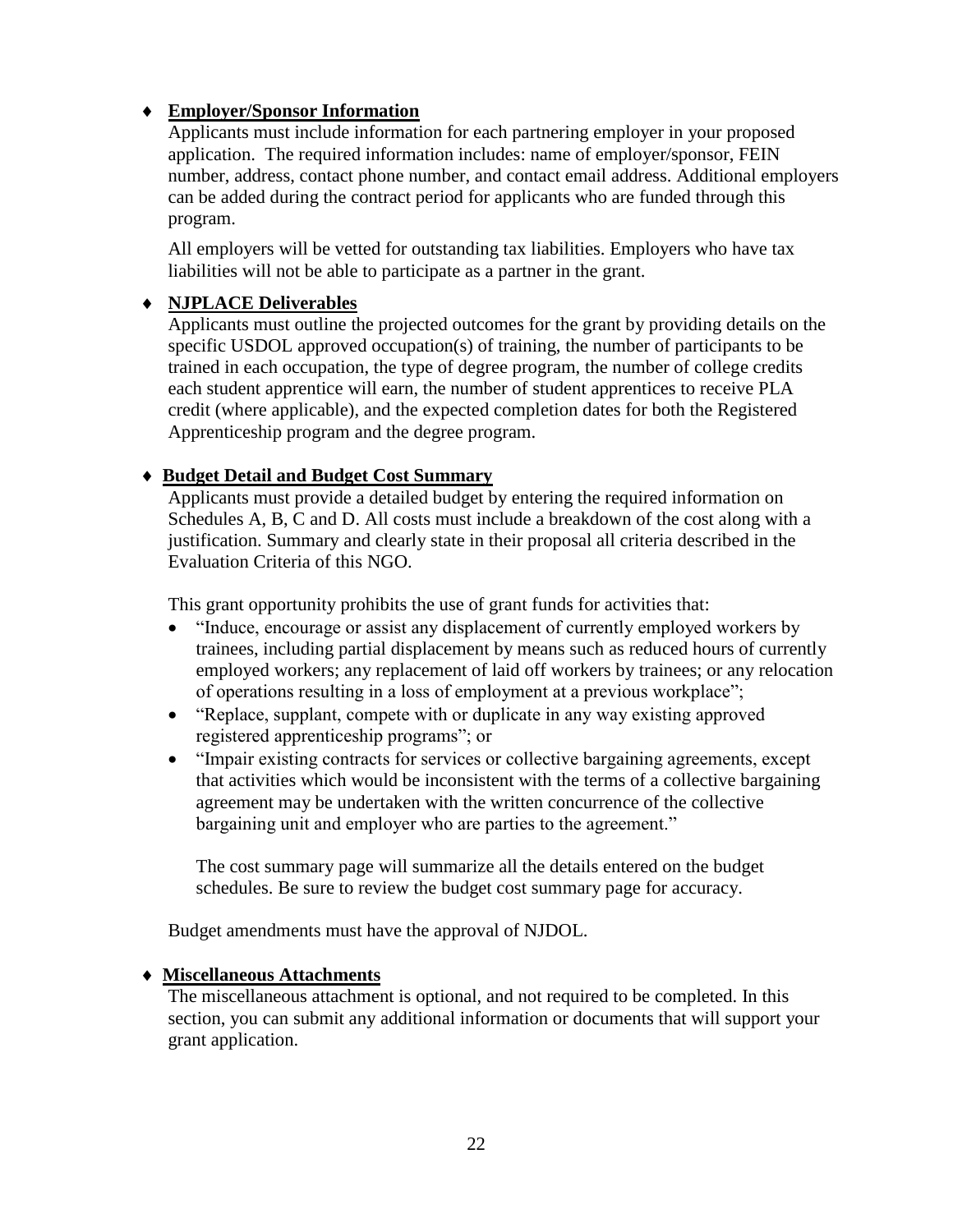### **Employer/Sponsor Information**

Applicants must include information for each partnering employer in your proposed application. The required information includes: name of employer/sponsor, FEIN number, address, contact phone number, and contact email address. Additional employers can be added during the contract period for applicants who are funded through this program.

All employers will be vetted for outstanding tax liabilities. Employers who have tax liabilities will not be able to participate as a partner in the grant.

#### **NJPLACE Deliverables**

Applicants must outline the projected outcomes for the grant by providing details on the specific USDOL approved occupation(s) of training, the number of participants to be trained in each occupation, the type of degree program, the number of college credits each student apprentice will earn, the number of student apprentices to receive PLA credit (where applicable), and the expected completion dates for both the Registered Apprenticeship program and the degree program.

#### **Budget Detail and Budget Cost Summary**

Applicants must provide a detailed budget by entering the required information on Schedules A, B, C and D. All costs must include a breakdown of the cost along with a justification. Summary and clearly state in their proposal all criteria described in the Evaluation Criteria of this NGO.

This grant opportunity prohibits the use of grant funds for activities that:

- "Induce, encourage or assist any displacement of currently employed workers by trainees, including partial displacement by means such as reduced hours of currently employed workers; any replacement of laid off workers by trainees; or any relocation of operations resulting in a loss of employment at a previous workplace";
- "Replace, supplant, compete with or duplicate in any way existing approved registered apprenticeship programs"; or
- "Impair existing contracts for services or collective bargaining agreements, except that activities which would be inconsistent with the terms of a collective bargaining agreement may be undertaken with the written concurrence of the collective bargaining unit and employer who are parties to the agreement."

The cost summary page will summarize all the details entered on the budget schedules. Be sure to review the budget cost summary page for accuracy.

Budget amendments must have the approval of NJDOL.

#### **Miscellaneous Attachments**

The miscellaneous attachment is optional, and not required to be completed. In this section, you can submit any additional information or documents that will support your grant application.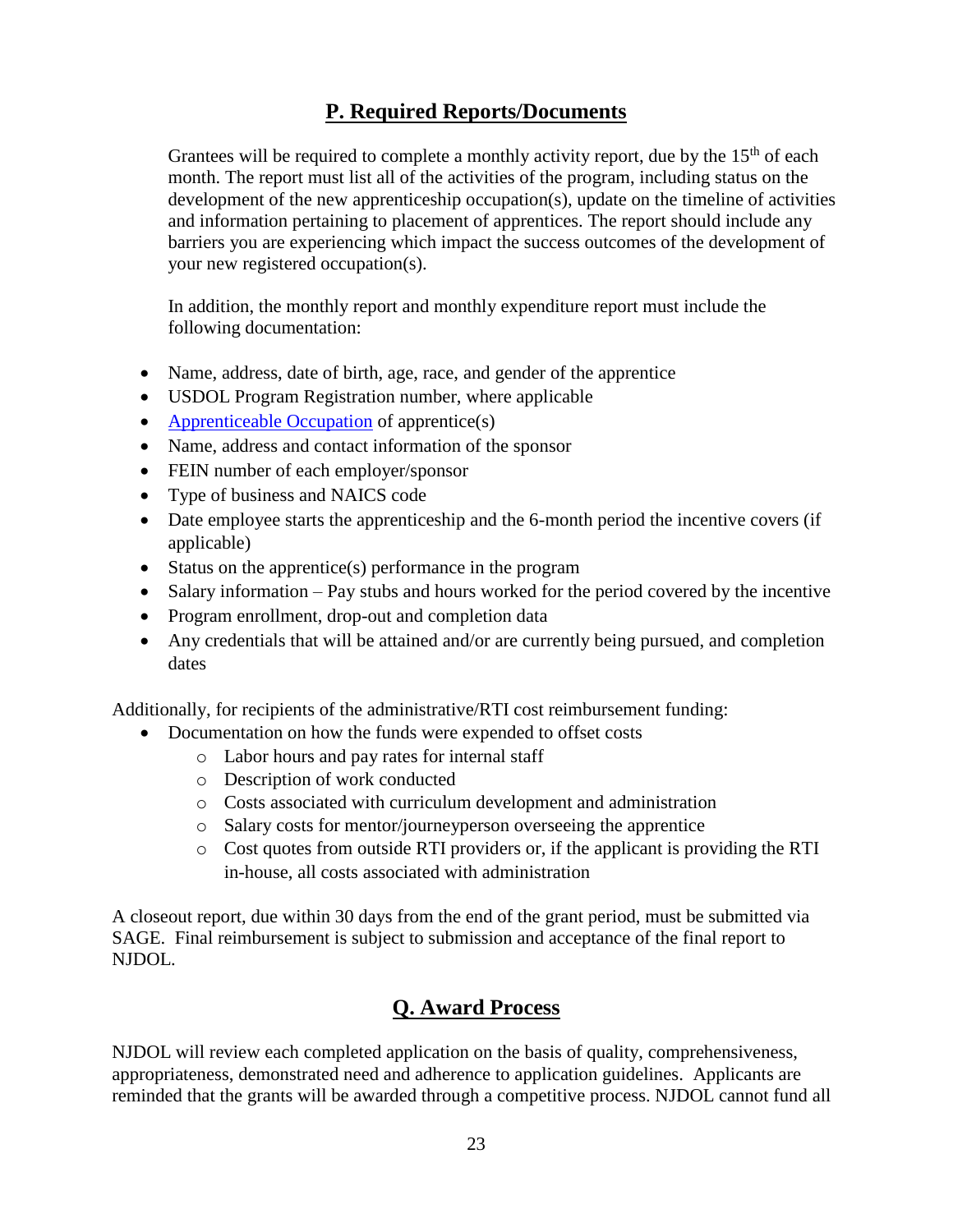# **P. Required Reports/Documents**

Grantees will be required to complete a monthly activity report, due by the  $15<sup>th</sup>$  of each month. The report must list all of the activities of the program, including status on the development of the new apprenticeship occupation(s), update on the timeline of activities and information pertaining to placement of apprentices. The report should include any barriers you are experiencing which impact the success outcomes of the development of your new registered occupation(s).

In addition, the monthly report and monthly expenditure report must include the following documentation:

- Name, address, date of birth, age, race, and gender of the apprentice
- USDOL Program Registration number, where applicable
- [Apprenticeable Occupation](https://www.apprenticeship.gov/apprenticeship-occupations) of apprentice(s)
- Name, address and contact information of the sponsor
- FEIN number of each employer/sponsor
- Type of business and NAICS code
- Date employee starts the apprenticeship and the 6-month period the incentive covers (if applicable)
- Status on the apprentice(s) performance in the program
- Salary information Pay stubs and hours worked for the period covered by the incentive
- Program enrollment, drop-out and completion data
- Any credentials that will be attained and/or are currently being pursued, and completion dates

Additionally, for recipients of the administrative/RTI cost reimbursement funding:

- Documentation on how the funds were expended to offset costs
	- o Labor hours and pay rates for internal staff
	- o Description of work conducted
	- o Costs associated with curriculum development and administration
	- o Salary costs for mentor/journeyperson overseeing the apprentice
	- o Cost quotes from outside RTI providers or, if the applicant is providing the RTI in-house, all costs associated with administration

A closeout report, due within 30 days from the end of the grant period, must be submitted via SAGE. Final reimbursement is subject to submission and acceptance of the final report to NJDOL.

## **Q. Award Process**

NJDOL will review each completed application on the basis of quality, comprehensiveness, appropriateness, demonstrated need and adherence to application guidelines. Applicants are reminded that the grants will be awarded through a competitive process. NJDOL cannot fund all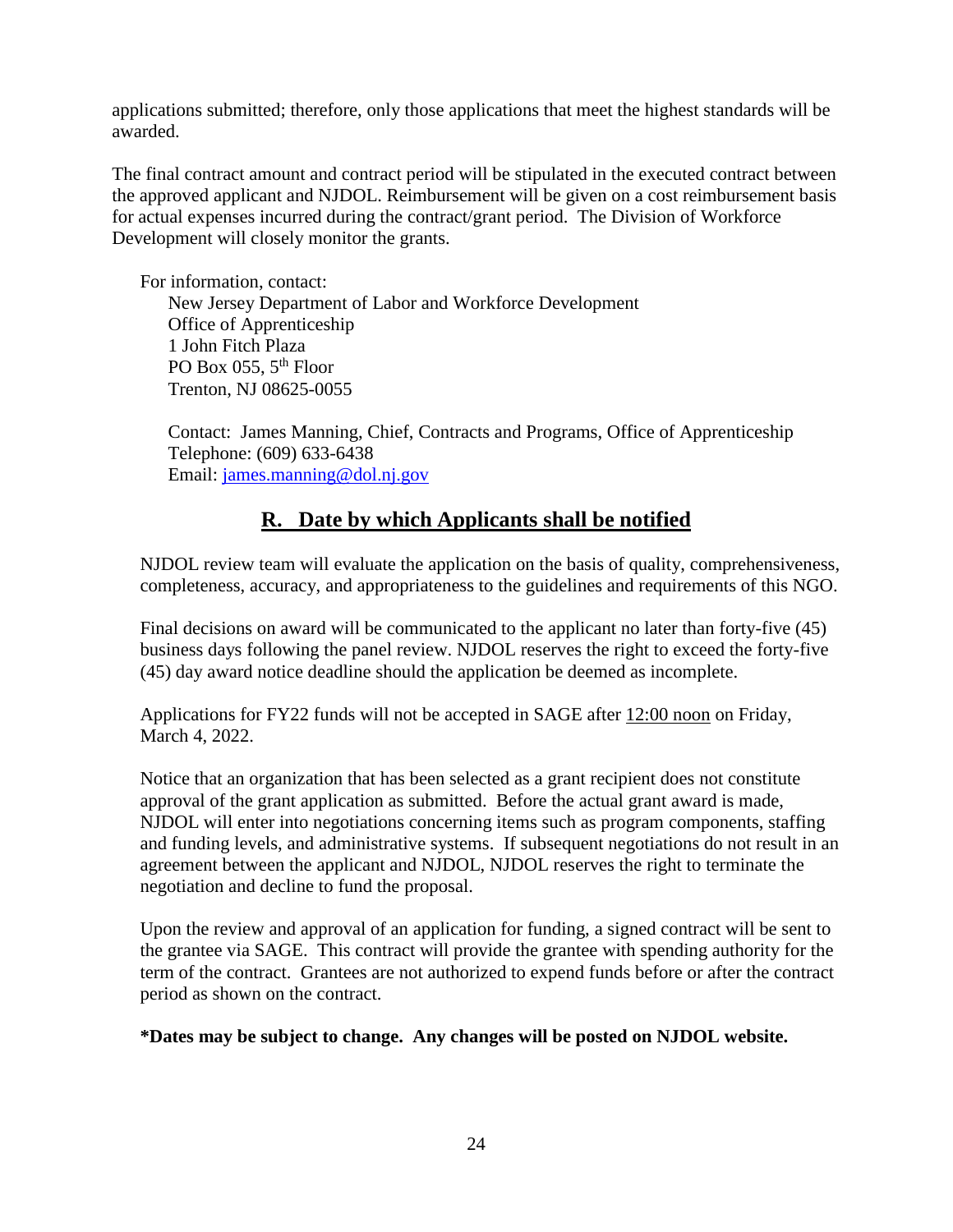applications submitted; therefore, only those applications that meet the highest standards will be awarded.

The final contract amount and contract period will be stipulated in the executed contract between the approved applicant and NJDOL. Reimbursement will be given on a cost reimbursement basis for actual expenses incurred during the contract/grant period. The Division of Workforce Development will closely monitor the grants.

For information, contact:

New Jersey Department of Labor and Workforce Development Office of Apprenticeship 1 John Fitch Plaza PO Box 055, 5<sup>th</sup> Floor Trenton, NJ 08625-0055

 Contact: James Manning, Chief, Contracts and Programs, Office of Apprenticeship Telephone: (609) 633-6438 Email: [james.manning@dol.nj.gov](mailto:james.manning@dol.nj.gov)

# **R. Date by which Applicants shall be notified**

NJDOL review team will evaluate the application on the basis of quality, comprehensiveness, completeness, accuracy, and appropriateness to the guidelines and requirements of this NGO.

Final decisions on award will be communicated to the applicant no later than forty-five (45) business days following the panel review. NJDOL reserves the right to exceed the forty-five (45) day award notice deadline should the application be deemed as incomplete.

Applications for FY22 funds will not be accepted in SAGE after 12:00 noon on Friday, March 4, 2022.

Notice that an organization that has been selected as a grant recipient does not constitute approval of the grant application as submitted. Before the actual grant award is made, NJDOL will enter into negotiations concerning items such as program components, staffing and funding levels, and administrative systems. If subsequent negotiations do not result in an agreement between the applicant and NJDOL, NJDOL reserves the right to terminate the negotiation and decline to fund the proposal.

Upon the review and approval of an application for funding, a signed contract will be sent to the grantee via SAGE. This contract will provide the grantee with spending authority for the term of the contract. Grantees are not authorized to expend funds before or after the contract period as shown on the contract.

**\*Dates may be subject to change. Any changes will be posted on NJDOL website.**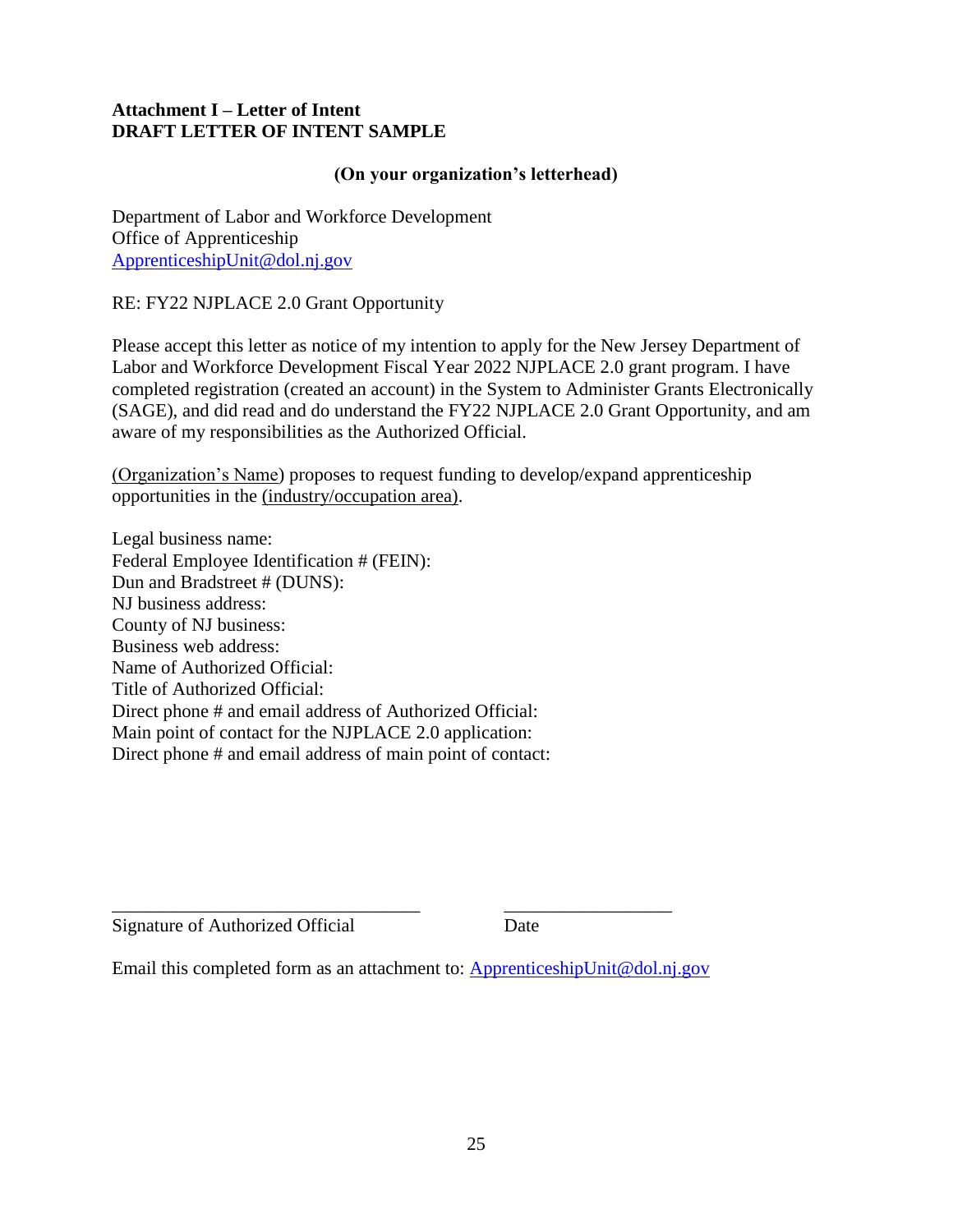### **Attachment I – Letter of Intent DRAFT LETTER OF INTENT SAMPLE**

### **(On your organization's letterhead)**

Department of Labor and Workforce Development Office of Apprenticeship [ApprenticeshipUnit@dol.nj.gov](mailto:ApprenticeshipUnit@dol.nj.gov)

RE: FY22 NJPLACE 2.0 Grant Opportunity

Please accept this letter as notice of my intention to apply for the New Jersey Department of Labor and Workforce Development Fiscal Year 2022 NJPLACE 2.0 grant program. I have completed registration (created an account) in the System to Administer Grants Electronically (SAGE), and did read and do understand the FY22 NJPLACE 2.0 Grant Opportunity, and am aware of my responsibilities as the Authorized Official.

(Organization's Name) proposes to request funding to develop/expand apprenticeship opportunities in the (industry/occupation area).

Legal business name: Federal Employee Identification # (FEIN): Dun and Bradstreet # (DUNS): NJ business address: County of NJ business: Business web address: Name of Authorized Official: Title of Authorized Official: Direct phone # and email address of Authorized Official: Main point of contact for the NJPLACE 2.0 application: Direct phone # and email address of main point of contact:

Signature of Authorized Official Date

Email this completed form as an attachment to: [ApprenticeshipUnit@dol.nj.gov](mailto:ApprenticeshipUnit@dol.nj.gov)

\_\_\_\_\_\_\_\_\_\_\_\_\_\_\_\_\_\_\_\_\_\_\_\_\_\_\_\_\_\_\_\_\_ \_\_\_\_\_\_\_\_\_\_\_\_\_\_\_\_\_\_